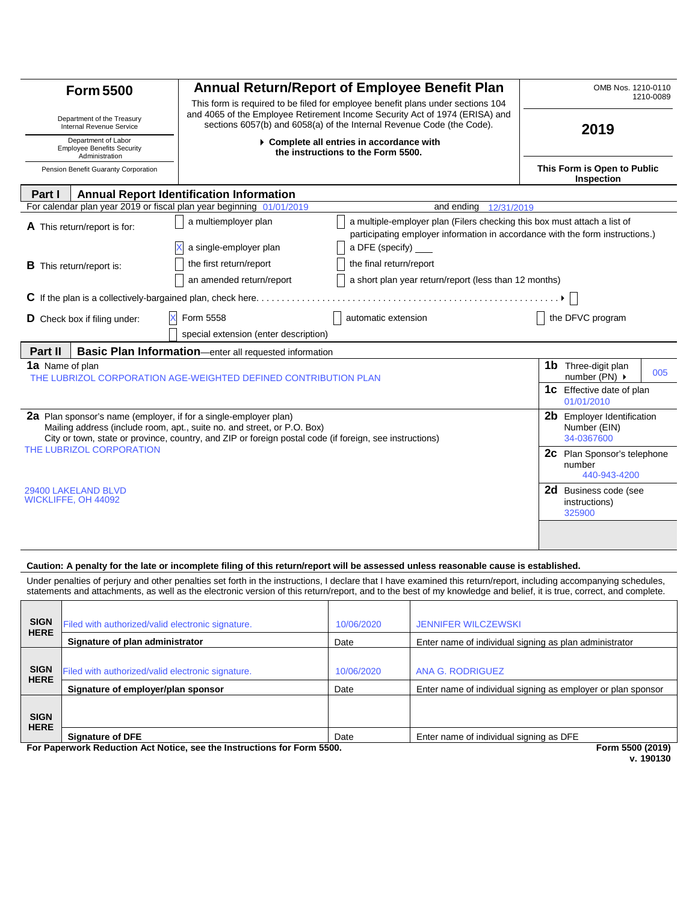| <b>Form 5500</b>                                                                                                                                                                                                                                       | <b>Annual Return/Report of Employee Benefit Plan</b>            |                                                                                                                                                                |  | OMB Nos. 1210-0110                             | 1210-0089 |  |
|--------------------------------------------------------------------------------------------------------------------------------------------------------------------------------------------------------------------------------------------------------|-----------------------------------------------------------------|----------------------------------------------------------------------------------------------------------------------------------------------------------------|--|------------------------------------------------|-----------|--|
| Department of the Treasury                                                                                                                                                                                                                             |                                                                 | This form is required to be filed for employee benefit plans under sections 104<br>and 4065 of the Employee Retirement Income Security Act of 1974 (ERISA) and |  |                                                |           |  |
| Internal Revenue Service                                                                                                                                                                                                                               |                                                                 | sections 6057(b) and 6058(a) of the Internal Revenue Code (the Code).                                                                                          |  | 2019                                           |           |  |
| Department of Labor<br><b>Employee Benefits Security</b><br>Administration                                                                                                                                                                             |                                                                 | ▶ Complete all entries in accordance with<br>the instructions to the Form 5500.                                                                                |  |                                                |           |  |
| Pension Benefit Guaranty Corporation                                                                                                                                                                                                                   |                                                                 | This Form is Open to Public<br>Inspection                                                                                                                      |  |                                                |           |  |
| Part I                                                                                                                                                                                                                                                 | <b>Annual Report Identification Information</b>                 |                                                                                                                                                                |  |                                                |           |  |
| For calendar plan year 2019 or fiscal plan year beginning 01/01/2019                                                                                                                                                                                   |                                                                 | and ending<br>12/31/2019                                                                                                                                       |  |                                                |           |  |
| A This return/report is for:                                                                                                                                                                                                                           | a multiemployer plan                                            | a multiple-employer plan (Filers checking this box must attach a list of<br>participating employer information in accordance with the form instructions.)      |  |                                                |           |  |
|                                                                                                                                                                                                                                                        | a single-employer plan                                          | a DFE (specify)                                                                                                                                                |  |                                                |           |  |
| <b>B</b> This return/report is:                                                                                                                                                                                                                        | the first return/report                                         | the final return/report                                                                                                                                        |  |                                                |           |  |
|                                                                                                                                                                                                                                                        | an amended return/report                                        | a short plan year return/report (less than 12 months)                                                                                                          |  |                                                |           |  |
|                                                                                                                                                                                                                                                        |                                                                 |                                                                                                                                                                |  |                                                |           |  |
| X<br>D Check box if filing under:                                                                                                                                                                                                                      | Form 5558                                                       | automatic extension                                                                                                                                            |  | the DFVC program                               |           |  |
|                                                                                                                                                                                                                                                        | special extension (enter description)                           |                                                                                                                                                                |  |                                                |           |  |
| Part II                                                                                                                                                                                                                                                | <b>Basic Plan Information</b> —enter all requested information  |                                                                                                                                                                |  |                                                |           |  |
| <b>1a</b> Name of plan                                                                                                                                                                                                                                 | THE LUBRIZOL CORPORATION AGE-WEIGHTED DEFINED CONTRIBUTION PLAN |                                                                                                                                                                |  | <b>1b</b> Three-digit plan<br>number (PN) ▶    | 005       |  |
|                                                                                                                                                                                                                                                        |                                                                 |                                                                                                                                                                |  | <b>1c</b> Effective date of plan<br>01/01/2010 |           |  |
| 2a Plan sponsor's name (employer, if for a single-employer plan)<br>Mailing address (include room, apt., suite no. and street, or P.O. Box)<br>City or town, state or province, country, and ZIP or foreign postal code (if foreign, see instructions) | 2b Employer Identification<br>Number (EIN)<br>34-0367600        |                                                                                                                                                                |  |                                                |           |  |
| THE LUBRIZOL CORPORATION                                                                                                                                                                                                                               | 2c Plan Sponsor's telephone<br>number<br>440-943-4200           |                                                                                                                                                                |  |                                                |           |  |
| 29400 LAKELAND BLVD<br>WICKLIFFE, OH 44092                                                                                                                                                                                                             | <b>2d</b> Business code (see<br>instructions)<br>325900         |                                                                                                                                                                |  |                                                |           |  |
|                                                                                                                                                                                                                                                        |                                                                 |                                                                                                                                                                |  |                                                |           |  |

### **Caution: A penalty for the late or incomplete filing of this return/report will be assessed unless reasonable cause is established.**

Under penalties of perjury and other penalties set forth in the instructions, I declare that I have examined this return/report, including accompanying schedules, statements and attachments, as well as the electronic version of this return/report, and to the best of my knowledge and belief, it is true, correct, and complete.

| <b>SIGN</b>                | Filed with authorized/valid electronic signature. | 10/06/2020 | <b>JENNIFER WILCZEWSKI</b>                                   |
|----------------------------|---------------------------------------------------|------------|--------------------------------------------------------------|
| <b>HERE</b>                | Signature of plan administrator                   | Date       | Enter name of individual signing as plan administrator       |
| <b>SIGN</b><br><b>HERE</b> | Filed with authorized/valid electronic signature. | 10/06/2020 | ANA G. RODRIGUEZ                                             |
|                            | Signature of employer/plan sponsor                | Date       | Enter name of individual signing as employer or plan sponsor |
| <b>SIGN</b><br><b>HERE</b> |                                                   |            |                                                              |
|                            | <b>Signature of DFE</b>                           | Date       | Enter name of individual signing as DFE                      |

**For Paperwork Reduction Act Notice, see the Instructions for Form 5500. Form 5500 (2019) Form 5500 (2019)** 

**v. 190130**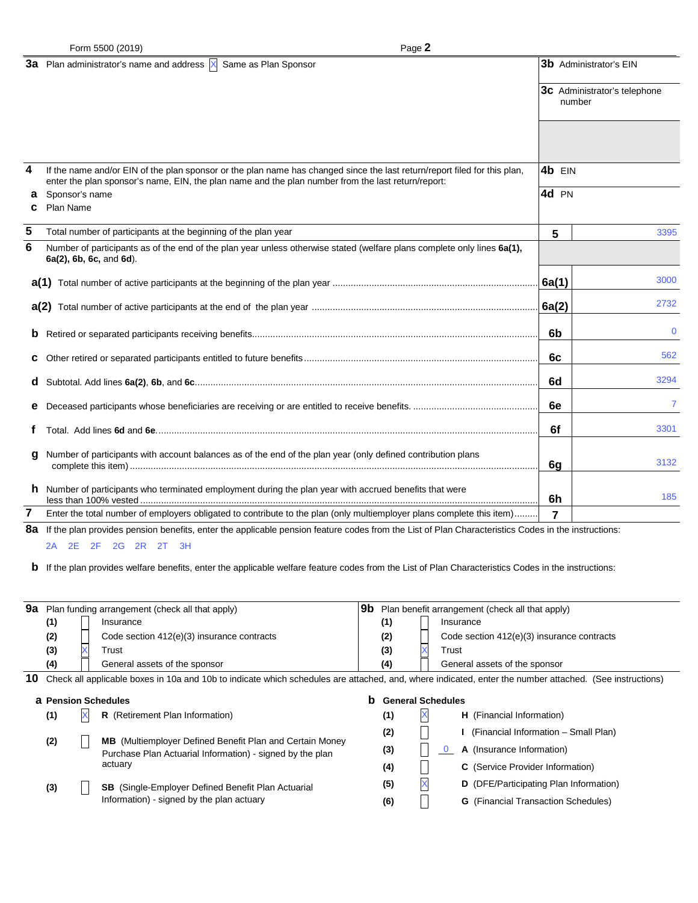|        | Form 5500 (2019)<br>Page 2                                                                                                                         |                |                                     |
|--------|----------------------------------------------------------------------------------------------------------------------------------------------------|----------------|-------------------------------------|
|        | 3a Plan administrator's name and address X Same as Plan Sponsor                                                                                    |                | 3b Administrator's EIN              |
|        |                                                                                                                                                    | number         | <b>3c</b> Administrator's telephone |
| 4      | If the name and/or EIN of the plan sponsor or the plan name has changed since the last return/report filed for this plan,                          | 4b EIN         |                                     |
|        | enter the plan sponsor's name, EIN, the plan name and the plan number from the last return/report:                                                 |                |                                     |
| а<br>c | Sponsor's name<br>Plan Name                                                                                                                        | 4d PN          |                                     |
| 5      | Total number of participants at the beginning of the plan year                                                                                     | 5              | 3395                                |
| 6      | Number of participants as of the end of the plan year unless otherwise stated (welfare plans complete only lines 6a(1),<br>6a(2), 6b, 6c, and 6d). |                |                                     |
|        |                                                                                                                                                    | 6a(1)          | 3000                                |
|        |                                                                                                                                                    | 6a(2)          | 2732                                |
| b      |                                                                                                                                                    | 6 <sub>b</sub> | $\mathbf 0$                         |
| C.     |                                                                                                                                                    | 6c             | 562                                 |
| d      |                                                                                                                                                    | 6d             | 3294                                |
|        |                                                                                                                                                    | 6e             | $\overline{7}$                      |
| t.     |                                                                                                                                                    | 6f             | 3301                                |
| g      | Number of participants with account balances as of the end of the plan year (only defined contribution plans                                       | 6g             | 3132                                |
| h.     | Number of participants who terminated employment during the plan year with accrued benefits that were                                              | 6h             | 185                                 |
| 7      | Enter the total number of employers obligated to contribute to the plan (only multiemployer plans complete this item)                              | 7              |                                     |
| 8а     | If the plan provides pension benefits, enter the applicable pension feature codes from the List of Plan Characteristics Codes in the instructions: |                |                                     |

2A 2E 2F 2G 2R 2T 3H

**b** If the plan provides welfare benefits, enter the applicable welfare feature codes from the List of Plan Characteristics Codes in the instructions:

|                            |                                                                                                                                                         |                                                                                                                              | <b>9a</b> Plan funding arrangement (check all that apply)                                              | 9b. |     |                                       | Plan benefit arrangement (check all that apply) |
|----------------------------|---------------------------------------------------------------------------------------------------------------------------------------------------------|------------------------------------------------------------------------------------------------------------------------------|--------------------------------------------------------------------------------------------------------|-----|-----|---------------------------------------|-------------------------------------------------|
|                            | (1)                                                                                                                                                     |                                                                                                                              | Insurance                                                                                              |     | (1) |                                       | Insurance                                       |
|                            | (2)                                                                                                                                                     |                                                                                                                              | Code section 412(e)(3) insurance contracts                                                             |     | (2) |                                       | Code section 412(e)(3) insurance contracts      |
|                            | (3)                                                                                                                                                     |                                                                                                                              | Trust                                                                                                  |     | (3) |                                       | Trust                                           |
|                            | (4)                                                                                                                                                     |                                                                                                                              | General assets of the sponsor                                                                          |     | (4) |                                       | General assets of the sponsor                   |
| 10                         | Check all applicable boxes in 10a and 10b to indicate which schedules are attached, and, where indicated, enter the number attached. (See instructions) |                                                                                                                              |                                                                                                        |     |     |                                       |                                                 |
| <b>a</b> Pension Schedules |                                                                                                                                                         |                                                                                                                              |                                                                                                        | b   |     |                                       | <b>General Schedules</b>                        |
|                            | (1)                                                                                                                                                     |                                                                                                                              | R (Retirement Plan Information)                                                                        |     | (1) |                                       | <b>H</b> (Financial Information)                |
|                            |                                                                                                                                                         |                                                                                                                              |                                                                                                        |     | (2) |                                       | (Financial Information – Small Plan)            |
|                            | (2)                                                                                                                                                     | <b>MB</b> (Multiemployer Defined Benefit Plan and Certain Money<br>Purchase Plan Actuarial Information) - signed by the plan |                                                                                                        | (3) |     | A (Insurance Information)<br>$\bf{0}$ |                                                 |
|                            |                                                                                                                                                         |                                                                                                                              | actuary                                                                                                |     | (4) |                                       | <b>C</b> (Service Provider Information)         |
|                            | (3)                                                                                                                                                     |                                                                                                                              | <b>SB</b> (Single-Employer Defined Benefit Plan Actuarial<br>Information) - signed by the plan actuary |     | (5) |                                       | D (DFE/Participating Plan Information)          |
|                            |                                                                                                                                                         |                                                                                                                              |                                                                                                        |     | (6) |                                       | <b>G</b> (Financial Transaction Schedules)      |
|                            |                                                                                                                                                         |                                                                                                                              |                                                                                                        |     |     |                                       |                                                 |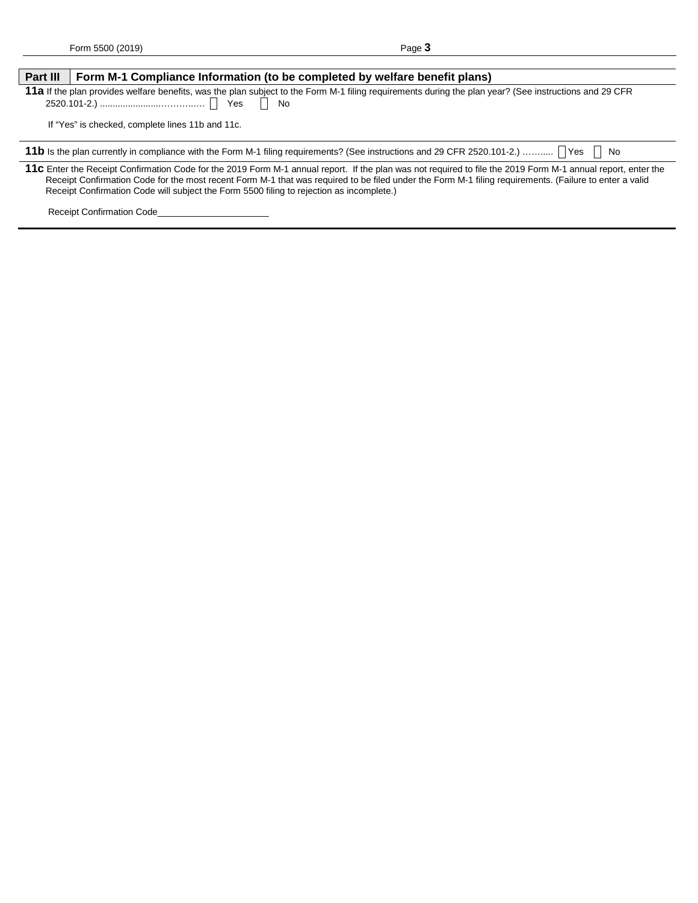| Part III                                                                                                                             | Form M-1 Compliance Information (to be completed by welfare benefit plans)                                                                                                                                                                                                                                                                                                                                         |  |  |
|--------------------------------------------------------------------------------------------------------------------------------------|--------------------------------------------------------------------------------------------------------------------------------------------------------------------------------------------------------------------------------------------------------------------------------------------------------------------------------------------------------------------------------------------------------------------|--|--|
|                                                                                                                                      | 11a If the plan provides welfare benefits, was the plan subject to the Form M-1 filing requirements during the plan year? (See instructions and 29 CFR<br>If "Yes" is checked, complete lines 11b and 11c.                                                                                                                                                                                                         |  |  |
| 11b Is the plan currently in compliance with the Form M-1 filing requirements? (See instructions and 29 CFR 2520.101-2.)    Yes   No |                                                                                                                                                                                                                                                                                                                                                                                                                    |  |  |
|                                                                                                                                      | 11c Enter the Receipt Confirmation Code for the 2019 Form M-1 annual report. If the plan was not required to file the 2019 Form M-1 annual report, enter the<br>Receipt Confirmation Code for the most recent Form M-1 that was required to be filed under the Form M-1 filing requirements. (Failure to enter a valid<br>Receipt Confirmation Code will subject the Form 5500 filing to rejection as incomplete.) |  |  |

Receipt Confirmation Code\_\_\_\_\_\_\_\_\_\_\_\_\_\_\_\_\_\_\_\_\_\_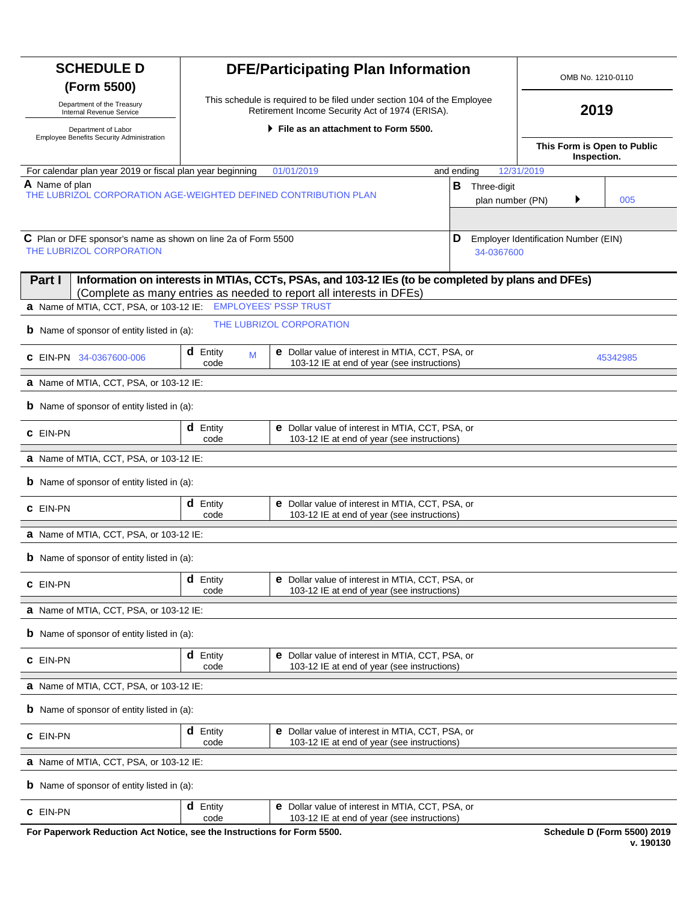| <b>SCHEDULE D</b><br>(Form 5500)                                                          |                                                                                                                                   | <b>DFE/Participating Plan Information</b>                                                                                                                                 | OMB No. 1210-0110                    |                                            |          |  |
|-------------------------------------------------------------------------------------------|-----------------------------------------------------------------------------------------------------------------------------------|---------------------------------------------------------------------------------------------------------------------------------------------------------------------------|--------------------------------------|--------------------------------------------|----------|--|
| Department of the Treasury<br>Internal Revenue Service                                    |                                                                                                                                   | This schedule is required to be filed under section 104 of the Employee<br>Retirement Income Security Act of 1974 (ERISA).                                                |                                      | 2019                                       |          |  |
| Department of Labor<br>Employee Benefits Security Administration                          | File as an attachment to Form 5500.                                                                                               |                                                                                                                                                                           |                                      |                                            |          |  |
|                                                                                           |                                                                                                                                   |                                                                                                                                                                           |                                      | This Form is Open to Public<br>Inspection. |          |  |
| For calendar plan year 2019 or fiscal plan year beginning                                 |                                                                                                                                   | 01/01/2019                                                                                                                                                                | and ending                           | 12/31/2019                                 |          |  |
| A Name of plan<br>THE LUBRIZOL CORPORATION AGE-WEIGHTED DEFINED CONTRIBUTION PLAN         |                                                                                                                                   |                                                                                                                                                                           | В<br>Three-digit<br>plan number (PN) | ▶                                          | 005      |  |
| C Plan or DFE sponsor's name as shown on line 2a of Form 5500<br>THE LUBRIZOL CORPORATION |                                                                                                                                   |                                                                                                                                                                           | D<br>34-0367600                      | Employer Identification Number (EIN)       |          |  |
| Part I<br>a Name of MTIA, CCT, PSA, or 103-12 IE: EMPLOYEES' PSSP TRUST                   |                                                                                                                                   | Information on interests in MTIAs, CCTs, PSAs, and 103-12 IEs (to be completed by plans and DFEs)<br>(Complete as many entries as needed to report all interests in DFEs) |                                      |                                            |          |  |
| <b>b</b> Name of sponsor of entity listed in (a):                                         |                                                                                                                                   | THE LUBRIZOL CORPORATION                                                                                                                                                  |                                      |                                            |          |  |
| C EIN-PN 34-0367600-006                                                                   | <b>d</b> Entity<br>M<br>code                                                                                                      | <b>e</b> Dollar value of interest in MTIA, CCT, PSA, or<br>103-12 IE at end of year (see instructions)                                                                    |                                      |                                            | 45342985 |  |
| a Name of MTIA, CCT, PSA, or 103-12 IE:                                                   |                                                                                                                                   |                                                                                                                                                                           |                                      |                                            |          |  |
| <b>b</b> Name of sponsor of entity listed in $(a)$ :                                      |                                                                                                                                   |                                                                                                                                                                           |                                      |                                            |          |  |
| C EIN-PN                                                                                  | <b>d</b> Entity<br>code                                                                                                           | <b>e</b> Dollar value of interest in MTIA, CCT, PSA, or<br>103-12 IE at end of year (see instructions)                                                                    |                                      |                                            |          |  |
| a Name of MTIA, CCT, PSA, or 103-12 IE:                                                   |                                                                                                                                   |                                                                                                                                                                           |                                      |                                            |          |  |
| <b>b</b> Name of sponsor of entity listed in (a):                                         |                                                                                                                                   |                                                                                                                                                                           |                                      |                                            |          |  |
| C EIN-PN                                                                                  | $d$ Entity<br>code                                                                                                                | e Dollar value of interest in MTIA, CCT, PSA, or<br>103-12 IE at end of year (see instructions)                                                                           |                                      |                                            |          |  |
| <b>a</b> Name of MTIA, CCT, PSA, or 103-12 IE:                                            |                                                                                                                                   |                                                                                                                                                                           |                                      |                                            |          |  |
| <b>b</b> Name of sponsor of entity listed in $(a)$ :                                      |                                                                                                                                   |                                                                                                                                                                           |                                      |                                            |          |  |
| C EIN-PN                                                                                  | <b>d</b> Entity<br>code                                                                                                           | <b>e</b> Dollar value of interest in MTIA, CCT, PSA, or<br>103-12 IE at end of year (see instructions)                                                                    |                                      |                                            |          |  |
| <b>a</b> Name of MTIA, CCT, PSA, or 103-12 IE:                                            |                                                                                                                                   |                                                                                                                                                                           |                                      |                                            |          |  |
| <b>b</b> Name of sponsor of entity listed in (a):                                         |                                                                                                                                   |                                                                                                                                                                           |                                      |                                            |          |  |
| C EIN-PN                                                                                  | <b>d</b> Entity<br>code                                                                                                           | e Dollar value of interest in MTIA, CCT, PSA, or<br>103-12 IE at end of year (see instructions)                                                                           |                                      |                                            |          |  |
| a Name of MTIA, CCT, PSA, or 103-12 IE:                                                   |                                                                                                                                   |                                                                                                                                                                           |                                      |                                            |          |  |
| <b>b</b> Name of sponsor of entity listed in (a):                                         |                                                                                                                                   |                                                                                                                                                                           |                                      |                                            |          |  |
| C EIN-PN                                                                                  | <b>d</b> Entity<br><b>e</b> Dollar value of interest in MTIA, CCT, PSA, or<br>103-12 IE at end of year (see instructions)<br>code |                                                                                                                                                                           |                                      |                                            |          |  |
| <b>a</b> Name of MTIA, CCT, PSA, or 103-12 IE:                                            |                                                                                                                                   |                                                                                                                                                                           |                                      |                                            |          |  |
| <b>b</b> Name of sponsor of entity listed in (a):                                         |                                                                                                                                   |                                                                                                                                                                           |                                      |                                            |          |  |
| C EIN-PN                                                                                  | <b>d</b> Entity<br>code                                                                                                           | <b>e</b> Dollar value of interest in MTIA, CCT, PSA, or<br>103-12 IE at end of year (see instructions)                                                                    |                                      |                                            |          |  |

For Paperwork Reduction Act Notice, see the Instructions for Form 5500.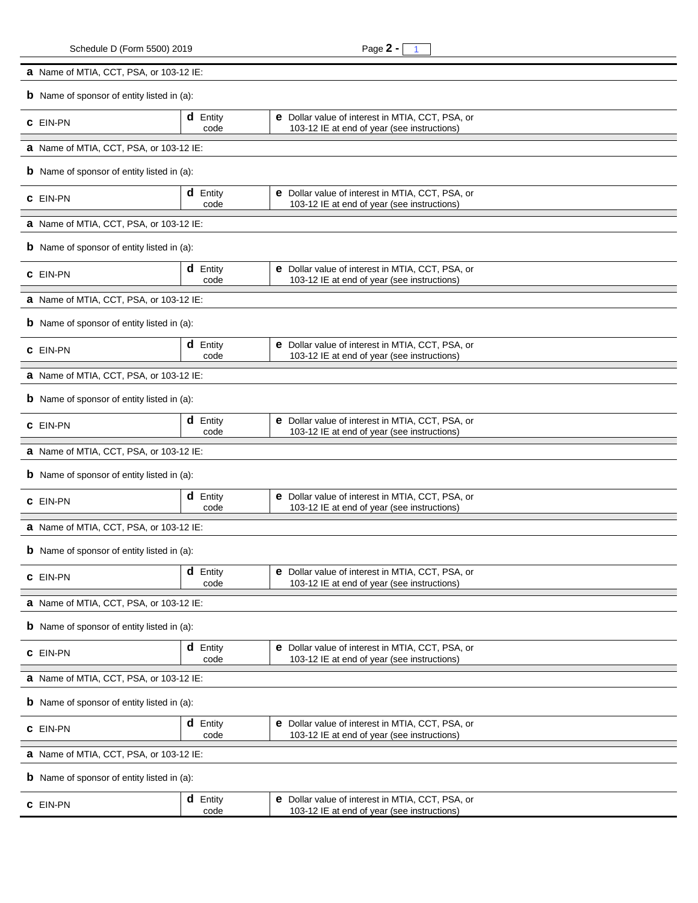Schedule D (Form 5500) 2019 **Page 2 -** 1

1

| a Name of MTIA, CCT, PSA, or 103-12 IE:              |                         |                                                                                                        |  |  |  |
|------------------------------------------------------|-------------------------|--------------------------------------------------------------------------------------------------------|--|--|--|
| <b>b</b> Name of sponsor of entity listed in (a):    |                         |                                                                                                        |  |  |  |
| C EIN-PN                                             | <b>d</b> Entity<br>code | <b>e</b> Dollar value of interest in MTIA, CCT, PSA, or<br>103-12 IE at end of year (see instructions) |  |  |  |
| a Name of MTIA, CCT, PSA, or 103-12 IE:              |                         |                                                                                                        |  |  |  |
| <b>b</b> Name of sponsor of entity listed in (a):    |                         |                                                                                                        |  |  |  |
| C EIN-PN                                             | <b>d</b> Entity<br>code | e Dollar value of interest in MTIA, CCT, PSA, or<br>103-12 IE at end of year (see instructions)        |  |  |  |
| a Name of MTIA, CCT, PSA, or 103-12 IE:              |                         |                                                                                                        |  |  |  |
| <b>b</b> Name of sponsor of entity listed in (a):    |                         |                                                                                                        |  |  |  |
| C EIN-PN                                             | d Entity<br>code        | <b>e</b> Dollar value of interest in MTIA, CCT, PSA, or<br>103-12 IE at end of year (see instructions) |  |  |  |
| a Name of MTIA, CCT, PSA, or 103-12 IE:              |                         |                                                                                                        |  |  |  |
| <b>b</b> Name of sponsor of entity listed in (a):    |                         |                                                                                                        |  |  |  |
| <b>C</b> EIN-PN                                      | <b>d</b> Entity<br>code | <b>e</b> Dollar value of interest in MTIA, CCT, PSA, or<br>103-12 IE at end of year (see instructions) |  |  |  |
| a Name of MTIA, CCT, PSA, or 103-12 IE:              |                         |                                                                                                        |  |  |  |
| <b>b</b> Name of sponsor of entity listed in $(a)$ : |                         |                                                                                                        |  |  |  |
| <b>C</b> EIN-PN                                      | <b>d</b> Entity<br>code | <b>e</b> Dollar value of interest in MTIA, CCT, PSA, or<br>103-12 IE at end of year (see instructions) |  |  |  |
| a Name of MTIA, CCT, PSA, or 103-12 IE:              |                         |                                                                                                        |  |  |  |
| <b>b</b> Name of sponsor of entity listed in $(a)$ : |                         |                                                                                                        |  |  |  |
| C EIN-PN                                             | <b>d</b> Entity<br>code | e Dollar value of interest in MTIA, CCT, PSA, or<br>103-12 IE at end of year (see instructions)        |  |  |  |
| a Name of MTIA, CCT, PSA, or 103-12 IE:              |                         |                                                                                                        |  |  |  |
| <b>b</b> Name of sponsor of entity listed in (a):    |                         |                                                                                                        |  |  |  |
| C EIN-PN                                             | <b>d</b> Entity<br>code | <b>e</b> Dollar value of interest in MTIA, CCT, PSA, or<br>103-12 IE at end of year (see instructions) |  |  |  |
| <b>a</b> Name of MTIA, CCT, PSA, or 103-12 IE:       |                         |                                                                                                        |  |  |  |
| <b>b</b> Name of sponsor of entity listed in (a):    |                         |                                                                                                        |  |  |  |
| C EIN-PN                                             | d<br>Entity<br>code     | <b>e</b> Dollar value of interest in MTIA, CCT, PSA, or<br>103-12 IE at end of year (see instructions) |  |  |  |
| <b>a</b> Name of MTIA, CCT, PSA, or 103-12 IE:       |                         |                                                                                                        |  |  |  |
| <b>b</b> Name of sponsor of entity listed in (a):    |                         |                                                                                                        |  |  |  |
| C EIN-PN                                             | <b>d</b> Entity<br>code | <b>e</b> Dollar value of interest in MTIA, CCT, PSA, or<br>103-12 IE at end of year (see instructions) |  |  |  |
| <b>a</b> Name of MTIA, CCT, PSA, or 103-12 IE:       |                         |                                                                                                        |  |  |  |
| <b>b</b> Name of sponsor of entity listed in (a):    |                         |                                                                                                        |  |  |  |
| C EIN-PN                                             | <b>d</b> Entity<br>code | <b>e</b> Dollar value of interest in MTIA, CCT, PSA, or<br>103-12 IE at end of year (see instructions) |  |  |  |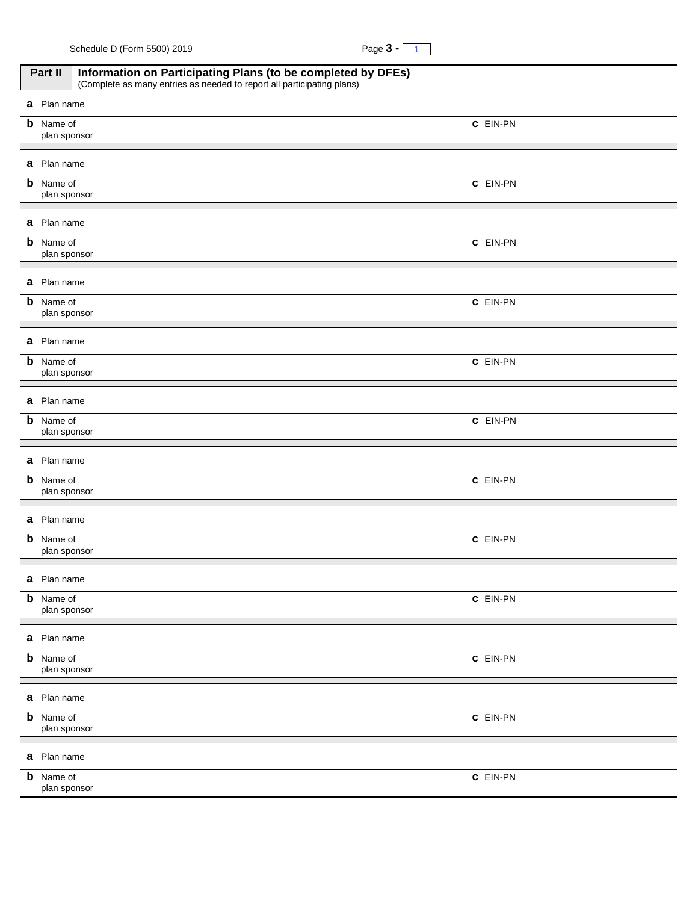1

| Part II                          | Information on Participating Plans (to be completed by DFEs)<br>(Complete as many entries as needed to report all participating plans) |          |
|----------------------------------|----------------------------------------------------------------------------------------------------------------------------------------|----------|
| a Plan name                      |                                                                                                                                        |          |
| <b>b</b> Name of<br>plan sponsor |                                                                                                                                        | C EIN-PN |
| a Plan name                      |                                                                                                                                        |          |
| <b>b</b> Name of<br>plan sponsor |                                                                                                                                        | C EIN-PN |
| a Plan name                      |                                                                                                                                        |          |
| <b>b</b> Name of<br>plan sponsor |                                                                                                                                        | C EIN-PN |
| a Plan name                      |                                                                                                                                        |          |
| <b>b</b> Name of<br>plan sponsor |                                                                                                                                        | C EIN-PN |
| a Plan name                      |                                                                                                                                        |          |
| <b>b</b> Name of<br>plan sponsor |                                                                                                                                        | C EIN-PN |
| a Plan name                      |                                                                                                                                        |          |
| <b>b</b> Name of<br>plan sponsor |                                                                                                                                        | C EIN-PN |
| a Plan name                      |                                                                                                                                        |          |
| <b>b</b> Name of<br>plan sponsor |                                                                                                                                        | C EIN-PN |
| a Plan name                      |                                                                                                                                        |          |
| <b>b</b> Name of<br>plan sponsor |                                                                                                                                        | C EIN-PN |
| a Plan name                      |                                                                                                                                        |          |
| <b>b</b> Name of<br>plan sponsor |                                                                                                                                        | C EIN-PN |
| a Plan name                      |                                                                                                                                        |          |
| <b>b</b> Name of<br>plan sponsor |                                                                                                                                        | C EIN-PN |
| a Plan name                      |                                                                                                                                        |          |
| <b>b</b> Name of<br>plan sponsor |                                                                                                                                        | C EIN-PN |
| a Plan name                      |                                                                                                                                        |          |
| <b>b</b> Name of<br>plan sponsor |                                                                                                                                        | C EIN-PN |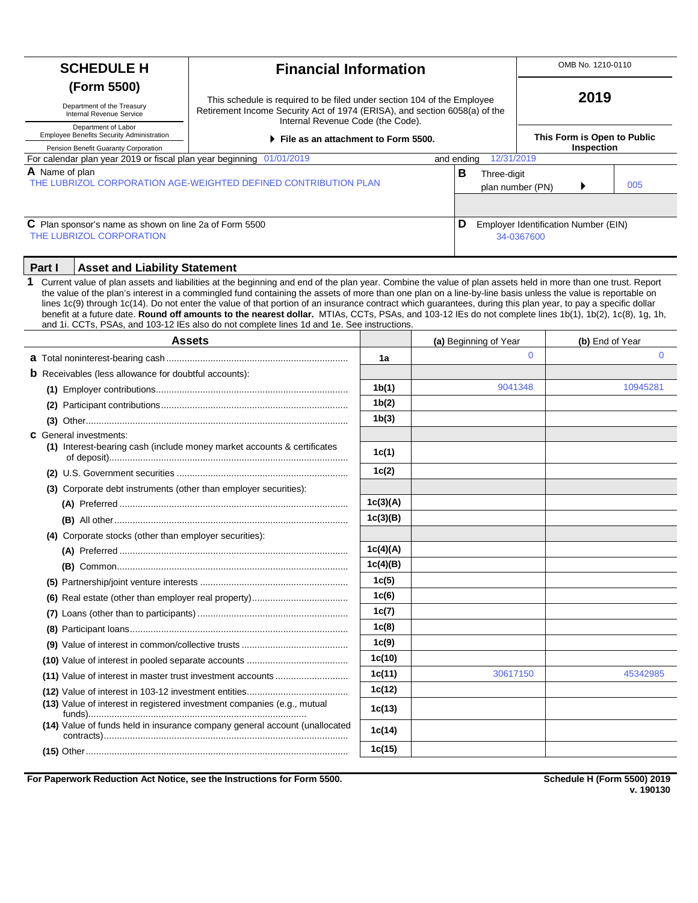| <b>SCHEDULE H</b>                                                       | <b>Financial Information</b>                                                                                                                                                                                                                                                                                             |                    |      |                          | OMB No. 1210-0110 |                                      |                             |  |
|-------------------------------------------------------------------------|--------------------------------------------------------------------------------------------------------------------------------------------------------------------------------------------------------------------------------------------------------------------------------------------------------------------------|--------------------|------|--------------------------|-------------------|--------------------------------------|-----------------------------|--|
| (Form 5500)                                                             |                                                                                                                                                                                                                                                                                                                          |                    | 2019 |                          |                   |                                      |                             |  |
| Department of the Treasury<br>Internal Revenue Service                  | This schedule is required to be filed under section 104 of the Employee<br>Retirement Income Security Act of 1974 (ERISA), and section 6058(a) of the<br>Internal Revenue Code (the Code).                                                                                                                               |                    |      |                          |                   |                                      |                             |  |
| Department of Labor<br>Employee Benefits Security Administration        | File as an attachment to Form 5500.                                                                                                                                                                                                                                                                                      |                    |      |                          |                   |                                      | This Form is Open to Public |  |
| Pension Benefit Guaranty Corporation                                    |                                                                                                                                                                                                                                                                                                                          |                    |      |                          |                   | Inspection                           |                             |  |
| For calendar plan year 2019 or fiscal plan year beginning 01/01/2019    |                                                                                                                                                                                                                                                                                                                          |                    |      | 12/31/2019<br>and ending |                   |                                      |                             |  |
| A Name of plan                                                          | THE LUBRIZOL CORPORATION AGE-WEIGHTED DEFINED CONTRIBUTION PLAN                                                                                                                                                                                                                                                          |                    |      | В<br>Three-digit         |                   |                                      | 005                         |  |
|                                                                         |                                                                                                                                                                                                                                                                                                                          |                    |      | plan number (PN)         |                   |                                      |                             |  |
|                                                                         |                                                                                                                                                                                                                                                                                                                          |                    |      |                          |                   |                                      |                             |  |
| C Plan sponsor's name as shown on line 2a of Form 5500                  |                                                                                                                                                                                                                                                                                                                          |                    |      | D                        |                   | Employer Identification Number (EIN) |                             |  |
| THE LUBRIZOL CORPORATION                                                |                                                                                                                                                                                                                                                                                                                          |                    |      |                          | 34-0367600        |                                      |                             |  |
| Part I<br><b>Asset and Liability Statement</b>                          |                                                                                                                                                                                                                                                                                                                          |                    |      |                          |                   |                                      |                             |  |
| 1                                                                       | Current value of plan assets and liabilities at the beginning and end of the plan year. Combine the value of plan assets held in more than one trust. Report                                                                                                                                                             |                    |      |                          |                   |                                      |                             |  |
|                                                                         | the value of the plan's interest in a commingled fund containing the assets of more than one plan on a line-by-line basis unless the value is reportable on                                                                                                                                                              |                    |      |                          |                   |                                      |                             |  |
|                                                                         | lines 1c(9) through 1c(14). Do not enter the value of that portion of an insurance contract which guarantees, during this plan year, to pay a specific dollar<br>benefit at a future date. Round off amounts to the nearest dollar. MTIAs, CCTs, PSAs, and 103-12 IEs do not complete lines 1b(1), 1b(2), 1c(8), 1g, 1h, |                    |      |                          |                   |                                      |                             |  |
|                                                                         | and 1i. CCTs, PSAs, and 103-12 IEs also do not complete lines 1d and 1e. See instructions.                                                                                                                                                                                                                               |                    |      |                          |                   |                                      |                             |  |
|                                                                         | <b>Assets</b>                                                                                                                                                                                                                                                                                                            |                    |      | (a) Beginning of Year    |                   |                                      | (b) End of Year             |  |
|                                                                         |                                                                                                                                                                                                                                                                                                                          | 1a                 |      |                          | $\mathbf{0}$      |                                      | $\Omega$                    |  |
| <b>b</b> Receivables (less allowance for doubtful accounts):            |                                                                                                                                                                                                                                                                                                                          |                    |      |                          |                   |                                      |                             |  |
|                                                                         |                                                                                                                                                                                                                                                                                                                          | 1 <sub>b</sub> (1) |      | 9041348                  |                   |                                      | 10945281                    |  |
|                                                                         |                                                                                                                                                                                                                                                                                                                          | 1b(2)              |      |                          |                   |                                      |                             |  |
|                                                                         |                                                                                                                                                                                                                                                                                                                          | 1b(3)              |      |                          |                   |                                      |                             |  |
| <b>C</b> General investments:                                           |                                                                                                                                                                                                                                                                                                                          |                    |      |                          |                   |                                      |                             |  |
|                                                                         | (1) Interest-bearing cash (include money market accounts & certificates                                                                                                                                                                                                                                                  | 1c(1)              |      |                          |                   |                                      |                             |  |
|                                                                         |                                                                                                                                                                                                                                                                                                                          | 1c(2)              |      |                          |                   |                                      |                             |  |
| (3) Corporate debt instruments (other than employer securities):        |                                                                                                                                                                                                                                                                                                                          |                    |      |                          |                   |                                      |                             |  |
|                                                                         |                                                                                                                                                                                                                                                                                                                          | 1c(3)(A)           |      |                          |                   |                                      |                             |  |
|                                                                         |                                                                                                                                                                                                                                                                                                                          | 1c(3)(B)           |      |                          |                   |                                      |                             |  |
| (4) Corporate stocks (other than employer securities):                  |                                                                                                                                                                                                                                                                                                                          |                    |      |                          |                   |                                      |                             |  |
|                                                                         |                                                                                                                                                                                                                                                                                                                          | 1c(4)(A)           |      |                          |                   |                                      |                             |  |
|                                                                         |                                                                                                                                                                                                                                                                                                                          | 1c(4)(B)           |      |                          |                   |                                      |                             |  |
|                                                                         |                                                                                                                                                                                                                                                                                                                          | 1c(5)              |      |                          |                   |                                      |                             |  |
|                                                                         |                                                                                                                                                                                                                                                                                                                          | 1c(6)              |      |                          |                   |                                      |                             |  |
|                                                                         |                                                                                                                                                                                                                                                                                                                          | 1c(7)              |      |                          |                   |                                      |                             |  |
|                                                                         |                                                                                                                                                                                                                                                                                                                          | 1c(8)              |      |                          |                   |                                      |                             |  |
|                                                                         |                                                                                                                                                                                                                                                                                                                          | 1c(9)              |      |                          |                   |                                      |                             |  |
|                                                                         |                                                                                                                                                                                                                                                                                                                          | 1c(10)             |      |                          |                   |                                      |                             |  |
|                                                                         | (11) Value of interest in master trust investment accounts                                                                                                                                                                                                                                                               | 1c(11)             |      | 30617150                 |                   |                                      | 45342985                    |  |
|                                                                         |                                                                                                                                                                                                                                                                                                                          | 1c(12)             |      |                          |                   |                                      |                             |  |
| (13) Value of interest in registered investment companies (e.g., mutual |                                                                                                                                                                                                                                                                                                                          | 1c(13)             |      |                          |                   |                                      |                             |  |
|                                                                         | (14) Value of funds held in insurance company general account (unallocated                                                                                                                                                                                                                                               | 1c(14)             |      |                          |                   |                                      |                             |  |
|                                                                         |                                                                                                                                                                                                                                                                                                                          | 1c(15)             |      |                          |                   |                                      |                             |  |

**For Paperwork Reduction Act Notice, see the Instructions for Form 5500.**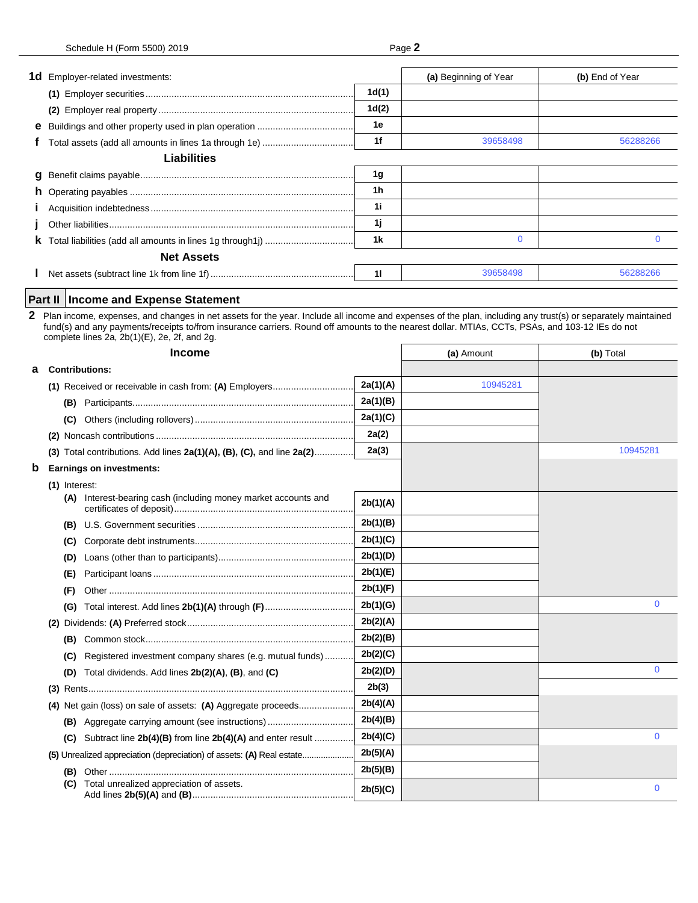|             | 1d Employer-related investments:                                                                                                                                                                                                                                                                                                                                                |          | (a) Beginning of Year | (b) End of Year |
|-------------|---------------------------------------------------------------------------------------------------------------------------------------------------------------------------------------------------------------------------------------------------------------------------------------------------------------------------------------------------------------------------------|----------|-----------------------|-----------------|
|             |                                                                                                                                                                                                                                                                                                                                                                                 | 1d(1)    |                       |                 |
|             |                                                                                                                                                                                                                                                                                                                                                                                 | 1d(2)    |                       |                 |
|             |                                                                                                                                                                                                                                                                                                                                                                                 | 1е       |                       |                 |
|             |                                                                                                                                                                                                                                                                                                                                                                                 | 1f       | 39658498              | 56288266        |
|             | <b>Liabilities</b>                                                                                                                                                                                                                                                                                                                                                              |          |                       |                 |
|             |                                                                                                                                                                                                                                                                                                                                                                                 | 1g       |                       |                 |
|             |                                                                                                                                                                                                                                                                                                                                                                                 | 1h       |                       |                 |
|             |                                                                                                                                                                                                                                                                                                                                                                                 | 1i       |                       |                 |
|             |                                                                                                                                                                                                                                                                                                                                                                                 | 1j       |                       |                 |
|             |                                                                                                                                                                                                                                                                                                                                                                                 | 1k       | 0                     | $\mathbf 0$     |
|             | <b>Net Assets</b>                                                                                                                                                                                                                                                                                                                                                               |          |                       |                 |
|             |                                                                                                                                                                                                                                                                                                                                                                                 | 11       | 39658498              | 56288266        |
|             |                                                                                                                                                                                                                                                                                                                                                                                 |          |                       |                 |
|             | Part II   Income and Expense Statement                                                                                                                                                                                                                                                                                                                                          |          |                       |                 |
|             | 2 Plan income, expenses, and changes in net assets for the year. Include all income and expenses of the plan, including any trust(s) or separately maintained<br>fund(s) and any payments/receipts to/from insurance carriers. Round off amounts to the nearest dollar. MTIAs, CCTs, PSAs, and 103-12 IEs do not<br>complete lines $2a$ , $2b(1)(E)$ , $2e$ , $2f$ , and $2g$ . |          |                       |                 |
|             | <b>Income</b>                                                                                                                                                                                                                                                                                                                                                                   |          | (a) Amount            | (b) Total       |
| a           | <b>Contributions:</b>                                                                                                                                                                                                                                                                                                                                                           |          |                       |                 |
|             |                                                                                                                                                                                                                                                                                                                                                                                 | 2a(1)(A) | 10945281              |                 |
|             |                                                                                                                                                                                                                                                                                                                                                                                 | 2a(1)(B) |                       |                 |
|             | (C)                                                                                                                                                                                                                                                                                                                                                                             | 2a(1)(C) |                       |                 |
|             |                                                                                                                                                                                                                                                                                                                                                                                 | 2a(2)    |                       |                 |
|             | (3) Total contributions. Add lines $2a(1)(A)$ , $(B)$ , $(C)$ , and line $2a(2)$                                                                                                                                                                                                                                                                                                | 2a(3)    |                       | 10945281        |
| $\mathbf b$ | <b>Earnings on investments:</b>                                                                                                                                                                                                                                                                                                                                                 |          |                       |                 |
|             | (1) Interest:                                                                                                                                                                                                                                                                                                                                                                   |          |                       |                 |
|             | Interest-bearing cash (including money market accounts and<br>(A)                                                                                                                                                                                                                                                                                                               | 2b(1)(A) |                       |                 |
|             | (B)                                                                                                                                                                                                                                                                                                                                                                             | 2b(1)(B) |                       |                 |
|             | (C).                                                                                                                                                                                                                                                                                                                                                                            | 2b(1)(C) |                       |                 |
|             |                                                                                                                                                                                                                                                                                                                                                                                 | 2b(1)(D) |                       |                 |
|             |                                                                                                                                                                                                                                                                                                                                                                                 | 2b(1)(E) |                       |                 |
|             | (F)                                                                                                                                                                                                                                                                                                                                                                             | 2b(1)(F) |                       |                 |
|             | Total interest. Add lines 2b(1)(A) through (F)<br>(G)                                                                                                                                                                                                                                                                                                                           | 2b(1)(G) |                       | 0               |
|             |                                                                                                                                                                                                                                                                                                                                                                                 | 2b(2)(A) |                       |                 |
|             | (B)                                                                                                                                                                                                                                                                                                                                                                             | 2b(2)(B) |                       |                 |
|             | Registered investment company shares (e.g. mutual funds)<br>(C)                                                                                                                                                                                                                                                                                                                 | 2b(2)(C) |                       |                 |
|             | Total dividends. Add lines 2b(2)(A), (B), and (C)<br>(D)                                                                                                                                                                                                                                                                                                                        | 2b(2)(D) |                       | 0               |
|             |                                                                                                                                                                                                                                                                                                                                                                                 | 2b(3)    |                       |                 |
|             | (4) Net gain (loss) on sale of assets: (A) Aggregate proceeds                                                                                                                                                                                                                                                                                                                   | 2b(4)(A) |                       |                 |
|             | (B) Aggregate carrying amount (see instructions)                                                                                                                                                                                                                                                                                                                                | 2b(4)(B) |                       |                 |
|             | Subtract line 2b(4)(B) from line 2b(4)(A) and enter result<br>(C)                                                                                                                                                                                                                                                                                                               | 2b(4)(C) |                       | 0               |
|             |                                                                                                                                                                                                                                                                                                                                                                                 | 2b(5)(A) |                       |                 |
|             |                                                                                                                                                                                                                                                                                                                                                                                 | 2b(5)(B) |                       |                 |
|             | (B)<br>Total unrealized appreciation of assets.<br>(C)                                                                                                                                                                                                                                                                                                                          | 2b(5)(C) |                       | $\mathbf 0$     |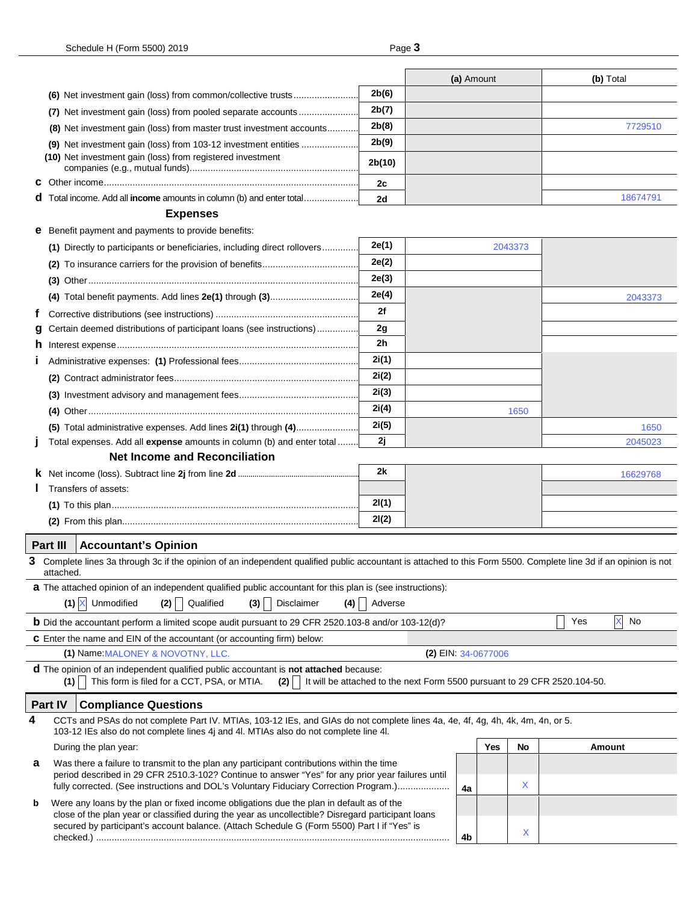|    |                                                                                                                                                                                                                                   |                |                     | (a) Amount |         |  | (b) Total     |          |
|----|-----------------------------------------------------------------------------------------------------------------------------------------------------------------------------------------------------------------------------------|----------------|---------------------|------------|---------|--|---------------|----------|
|    | (6) Net investment gain (loss) from common/collective trusts                                                                                                                                                                      | 2b(6)          |                     |            |         |  |               |          |
|    | (7) Net investment gain (loss) from pooled separate accounts                                                                                                                                                                      | 2b(7)          |                     |            |         |  |               |          |
|    | (8) Net investment gain (loss) from master trust investment accounts                                                                                                                                                              | 2b(8)          |                     |            |         |  |               | 7729510  |
|    |                                                                                                                                                                                                                                   | 2b(9)          |                     |            |         |  |               |          |
|    | (10) Net investment gain (loss) from registered investment                                                                                                                                                                        | 2b(10)         |                     |            |         |  |               |          |
|    |                                                                                                                                                                                                                                   | 2c             |                     |            |         |  |               |          |
|    | Total income. Add all income amounts in column (b) and enter total                                                                                                                                                                | 2d             |                     |            |         |  |               | 18674791 |
|    | <b>Expenses</b>                                                                                                                                                                                                                   |                |                     |            |         |  |               |          |
| е  | Benefit payment and payments to provide benefits:                                                                                                                                                                                 |                |                     |            |         |  |               |          |
|    | (1) Directly to participants or beneficiaries, including direct rollovers                                                                                                                                                         | 2e(1)          |                     |            | 2043373 |  |               |          |
|    |                                                                                                                                                                                                                                   | 2e(2)          |                     |            |         |  |               |          |
|    |                                                                                                                                                                                                                                   | 2e(3)          |                     |            |         |  |               |          |
|    |                                                                                                                                                                                                                                   | 2e(4)          |                     |            |         |  |               | 2043373  |
| T. |                                                                                                                                                                                                                                   | 2f             |                     |            |         |  |               |          |
| g  | Certain deemed distributions of participant loans (see instructions)                                                                                                                                                              | 2g             |                     |            |         |  |               |          |
| h  |                                                                                                                                                                                                                                   | 2 <sub>h</sub> |                     |            |         |  |               |          |
|    |                                                                                                                                                                                                                                   | 2i(1)          |                     |            |         |  |               |          |
|    |                                                                                                                                                                                                                                   | 2i(2)          |                     |            |         |  |               |          |
|    |                                                                                                                                                                                                                                   | 2i(3)          |                     |            |         |  |               |          |
|    |                                                                                                                                                                                                                                   | 2i(4)          |                     |            | 1650    |  |               |          |
|    | (5) Total administrative expenses. Add lines 2i(1) through (4)                                                                                                                                                                    | 2i(5)          |                     |            |         |  |               | 1650     |
|    | Total expenses. Add all expense amounts in column (b) and enter total                                                                                                                                                             | 2j             |                     |            |         |  |               | 2045023  |
|    | <b>Net Income and Reconciliation</b>                                                                                                                                                                                              |                |                     |            |         |  |               |          |
|    |                                                                                                                                                                                                                                   | 2k             |                     |            |         |  |               | 16629768 |
|    | Transfers of assets:                                                                                                                                                                                                              |                |                     |            |         |  |               |          |
|    |                                                                                                                                                                                                                                   | 2I(1)          |                     |            |         |  |               |          |
|    |                                                                                                                                                                                                                                   | 2I(2)          |                     |            |         |  |               |          |
|    |                                                                                                                                                                                                                                   |                |                     |            |         |  |               |          |
|    | Part III<br><b>Accountant's Opinion</b>                                                                                                                                                                                           |                |                     |            |         |  |               |          |
|    | Complete lines 3a through 3c if the opinion of an independent qualified public accountant is attached to this Form 5500. Complete line 3d if an opinion is not<br>attached.                                                       |                |                     |            |         |  |               |          |
|    | a The attached opinion of an independent qualified public accountant for this plan is (see instructions):                                                                                                                         |                |                     |            |         |  |               |          |
|    | $(1)$ X Unmodified<br>(2)<br>Qualified<br>(3)<br>Disclaimer                                                                                                                                                                       | (4) Adverse    |                     |            |         |  |               |          |
|    | <b>b</b> Did the accountant perform a limited scope audit pursuant to 29 CFR 2520.103-8 and/or 103-12(d)?                                                                                                                         |                |                     |            |         |  | Yes           | X<br>No  |
|    | C Enter the name and EIN of the accountant (or accounting firm) below:                                                                                                                                                            |                |                     |            |         |  |               |          |
|    | (1) Name: MALONEY & NOVOTNY, LLC.                                                                                                                                                                                                 |                | (2) EIN: 34-0677006 |            |         |  |               |          |
|    | d The opinion of an independent qualified public accountant is not attached because:<br>This form is filed for a CCT, PSA, or MTIA.<br>$(2)$     It will be attached to the next Form 5500 pursuant to 29 CFR 2520.104-50.<br>(1) |                |                     |            |         |  |               |          |
|    | Part IV<br><b>Compliance Questions</b>                                                                                                                                                                                            |                |                     |            |         |  |               |          |
| 4  | CCTs and PSAs do not complete Part IV. MTIAs, 103-12 IEs, and GIAs do not complete lines 4a, 4e, 4f, 4g, 4h, 4k, 4m, 4n, or 5.<br>103-12 IEs also do not complete lines 4j and 4l. MTIAs also do not complete line 4l.            |                |                     |            |         |  |               |          |
|    | During the plan year:                                                                                                                                                                                                             |                |                     | Yes        | No      |  | <b>Amount</b> |          |
| a  | Was there a failure to transmit to the plan any participant contributions within the time                                                                                                                                         |                |                     |            |         |  |               |          |
|    | period described in 29 CFR 2510.3-102? Continue to answer "Yes" for any prior year failures until<br>fully corrected. (See instructions and DOL's Voluntary Fiduciary Correction Program.)                                        |                |                     | 4a         | X       |  |               |          |
| b  | Were any loans by the plan or fixed income obligations due the plan in default as of the                                                                                                                                          |                |                     |            |         |  |               |          |
|    | close of the plan year or classified during the year as uncollectible? Disregard participant loans<br>secured by participant's account balance. (Attach Schedule G (Form 5500) Part I if "Yes" is                                 |                |                     |            | X       |  |               |          |
|    |                                                                                                                                                                                                                                   |                | 4b                  |            |         |  |               |          |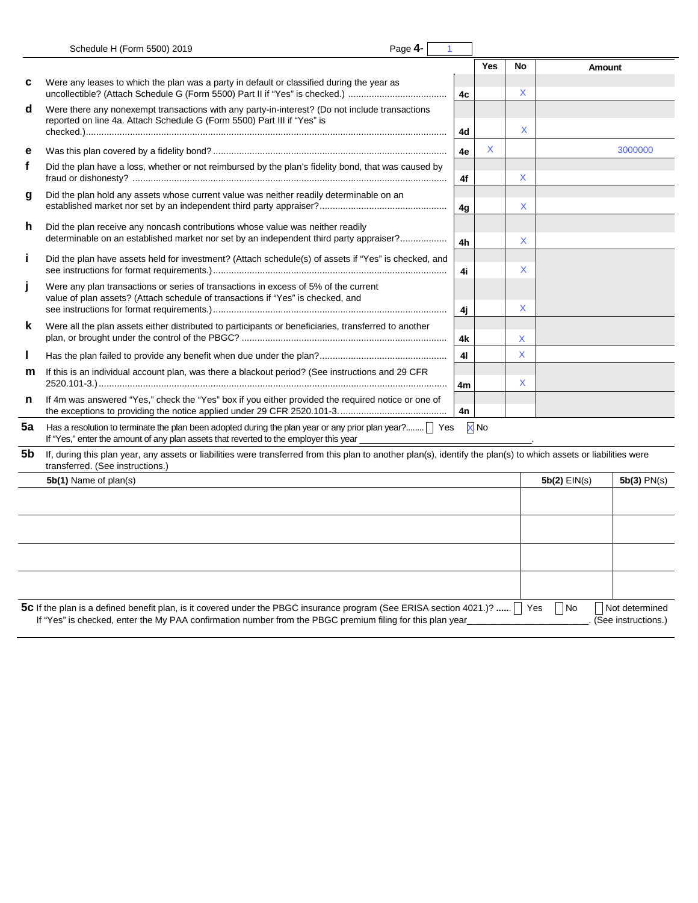| Schedule H (Form 5500) 2019 | Page $4-$ |  |
|-----------------------------|-----------|--|
|                             |           |  |

| Amount         |                       | No | Yes             |    |                                                                                                                                                                                                       |    |
|----------------|-----------------------|----|-----------------|----|-------------------------------------------------------------------------------------------------------------------------------------------------------------------------------------------------------|----|
|                |                       | X  |                 | 4c | Were any leases to which the plan was a party in default or classified during the year as<br>uncollectible? (Attach Schedule G (Form 5500) Part II if "Yes" is checked.)                              | c  |
|                |                       | X. |                 | 4d | Were there any nonexempt transactions with any party-in-interest? (Do not include transactions<br>reported on line 4a. Attach Schedule G (Form 5500) Part III if "Yes" is                             | d  |
| 3000000        |                       |    | X               | 4e |                                                                                                                                                                                                       | е  |
|                |                       | X  |                 | 4f | Did the plan have a loss, whether or not reimbursed by the plan's fidelity bond, that was caused by                                                                                                   | f  |
|                |                       | X  |                 | 4g | Did the plan hold any assets whose current value was neither readily determinable on an                                                                                                               | g  |
|                |                       | X  |                 | 4h | Did the plan receive any noncash contributions whose value was neither readily<br>determinable on an established market nor set by an independent third party appraiser?                              | h  |
|                |                       | X  |                 | 4i | Did the plan have assets held for investment? (Attach schedule(s) of assets if "Yes" is checked, and                                                                                                  | j. |
|                |                       | X  |                 | 4j | Were any plan transactions or series of transactions in excess of 5% of the current<br>value of plan assets? (Attach schedule of transactions if "Yes" is checked, and                                | Ī  |
|                |                       | X  |                 | 4k | Were all the plan assets either distributed to participants or beneficiaries, transferred to another                                                                                                  | k  |
|                |                       | X  |                 | 41 |                                                                                                                                                                                                       | L  |
|                |                       | X  |                 | 4m | If this is an individual account plan, was there a blackout period? (See instructions and 29 CFR                                                                                                      | m  |
|                |                       |    |                 | 4n | If 4m was answered "Yes," check the "Yes" box if you either provided the required notice or one of                                                                                                    | n  |
|                |                       |    | X <sub>No</sub> |    | Has a resolution to terminate the plan been adopted during the plan year or any prior plan year?   Yes<br>If "Yes," enter the amount of any plan assets that reverted to the employer this year       | 5а |
|                |                       |    |                 |    | If, during this plan year, any assets or liabilities were transferred from this plan to another plan(s), identify the plan(s) to which assets or liabilities were<br>transferred. (See instructions.) | 5b |
| $5b(3)$ PN(s)  | $5b(2)$ EIN(s)        |    |                 |    | 5b(1) Name of plan(s)                                                                                                                                                                                 |    |
|                |                       |    |                 |    |                                                                                                                                                                                                       |    |
|                |                       |    |                 |    |                                                                                                                                                                                                       |    |
|                |                       |    |                 |    |                                                                                                                                                                                                       |    |
|                |                       |    |                 |    |                                                                                                                                                                                                       |    |
|                |                       |    |                 |    |                                                                                                                                                                                                       |    |
|                |                       |    |                 |    |                                                                                                                                                                                                       |    |
| Not determined | $\vert \vert$ No      |    |                 |    | 5c If the plan is a defined benefit plan, is it covered under the PBGC insurance program (See ERISA section 4021.)? $\Box$ Yes                                                                        |    |
|                | . (See instructions.) |    |                 |    | If "Yes" is checked, enter the My PAA confirmation number from the PBGC premium filing for this plan year_                                                                                            |    |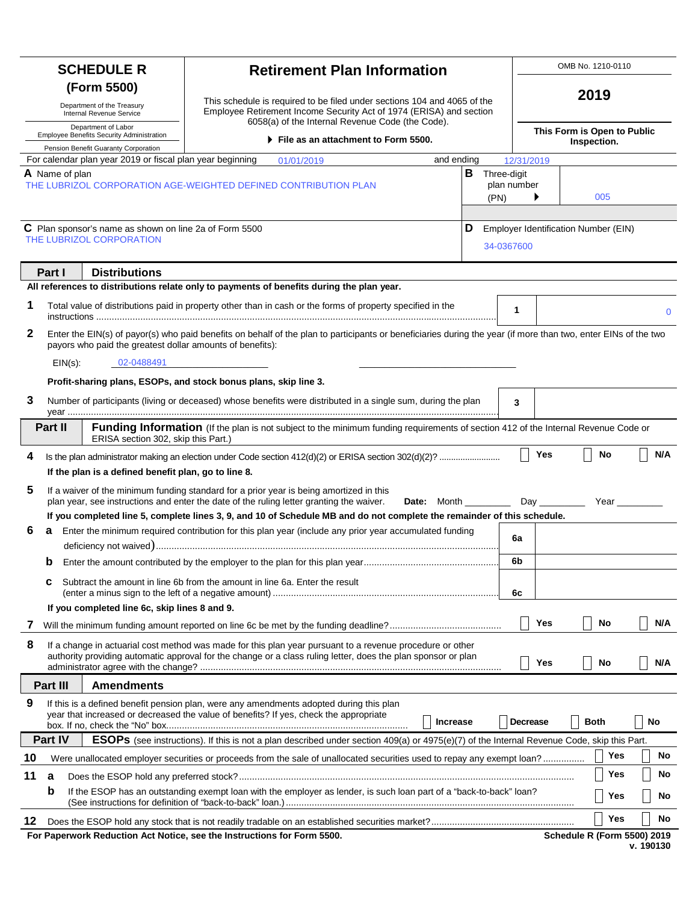| <b>SCHEDULE R</b>                                                                                               | OMB No. 1210-0110                                                                                                               |                                                                                                                                                                                                                            |             |   |                     |                                  |               |                                            |     |  |  |
|-----------------------------------------------------------------------------------------------------------------|---------------------------------------------------------------------------------------------------------------------------------|----------------------------------------------------------------------------------------------------------------------------------------------------------------------------------------------------------------------------|-------------|---|---------------------|----------------------------------|---------------|--------------------------------------------|-----|--|--|
| (Form 5500)                                                                                                     |                                                                                                                                 | <b>Retirement Plan Information</b>                                                                                                                                                                                         |             |   |                     |                                  |               | 2019                                       |     |  |  |
| Department of the Treasury<br>Internal Revenue Service                                                          |                                                                                                                                 | This schedule is required to be filed under sections 104 and 4065 of the<br>Employee Retirement Income Security Act of 1974 (ERISA) and section<br>6058(a) of the Internal Revenue Code (the Code).                        |             |   |                     |                                  |               |                                            |     |  |  |
| Department of Labor                                                                                             | <b>Employee Benefits Security Administration</b><br>File as an attachment to Form 5500.<br>Pension Benefit Guaranty Corporation |                                                                                                                                                                                                                            |             |   |                     |                                  |               | This Form is Open to Public<br>Inspection. |     |  |  |
| For calendar plan year 2019 or fiscal plan year beginning                                                       |                                                                                                                                 | 01/01/2019                                                                                                                                                                                                                 | and ending  |   |                     |                                  |               |                                            |     |  |  |
| A Name of plan<br>THE LUBRIZOL CORPORATION AGE-WEIGHTED DEFINED CONTRIBUTION PLAN                               |                                                                                                                                 |                                                                                                                                                                                                                            |             | В | Three-digit<br>(PN) | 12/31/2019<br>plan number<br>005 |               |                                            |     |  |  |
| C Plan sponsor's name as shown on line 2a of Form 5500<br>D<br>THE LUBRIZOL CORPORATION<br>34-0367600           |                                                                                                                                 |                                                                                                                                                                                                                            |             |   |                     |                                  |               | Employer Identification Number (EIN)       |     |  |  |
| <b>Distributions</b><br>Part I                                                                                  |                                                                                                                                 |                                                                                                                                                                                                                            |             |   |                     |                                  |               |                                            |     |  |  |
| All references to distributions relate only to payments of benefits during the plan year.                       |                                                                                                                                 |                                                                                                                                                                                                                            |             |   |                     |                                  |               |                                            |     |  |  |
| Total value of distributions paid in property other than in cash or the forms of property specified in the<br>1 | $\mathbf 1$                                                                                                                     |                                                                                                                                                                                                                            |             |   | $\Omega$            |                                  |               |                                            |     |  |  |
| 2<br>payors who paid the greatest dollar amounts of benefits):                                                  |                                                                                                                                 | Enter the EIN(s) of payor(s) who paid benefits on behalf of the plan to participants or beneficiaries during the year (if more than two, enter EINs of the two                                                             |             |   |                     |                                  |               |                                            |     |  |  |
| 02-0488491<br>$EIN(s)$ :                                                                                        |                                                                                                                                 |                                                                                                                                                                                                                            |             |   |                     |                                  |               |                                            |     |  |  |
| Profit-sharing plans, ESOPs, and stock bonus plans, skip line 3.                                                |                                                                                                                                 |                                                                                                                                                                                                                            |             |   |                     |                                  |               |                                            |     |  |  |
| 3                                                                                                               |                                                                                                                                 | Number of participants (living or deceased) whose benefits were distributed in a single sum, during the plan                                                                                                               |             |   | 3                   |                                  |               |                                            |     |  |  |
| <b>Part II</b>                                                                                                  | ERISA section 302, skip this Part.)                                                                                             | Funding Information (If the plan is not subject to the minimum funding requirements of section 412 of the Internal Revenue Code or                                                                                         |             |   |                     |                                  |               |                                            |     |  |  |
| 4                                                                                                               |                                                                                                                                 |                                                                                                                                                                                                                            |             |   |                     |                                  | Yes           | No                                         | N/A |  |  |
| If the plan is a defined benefit plan, go to line 8.                                                            |                                                                                                                                 |                                                                                                                                                                                                                            |             |   |                     |                                  |               |                                            |     |  |  |
| 5                                                                                                               |                                                                                                                                 | If a waiver of the minimum funding standard for a prior year is being amortized in this<br>plan year, see instructions and enter the date of the ruling letter granting the waiver.                                        | Date: Month |   |                     |                                  | Day _________ |                                            |     |  |  |
|                                                                                                                 |                                                                                                                                 | If you completed line 5, complete lines 3, 9, and 10 of Schedule MB and do not complete the remainder of this schedule.                                                                                                    |             |   |                     |                                  |               |                                            |     |  |  |
| 6                                                                                                               |                                                                                                                                 | a Enter the minimum required contribution for this plan year (include any prior year accumulated funding                                                                                                                   |             |   |                     | 6a                               |               |                                            |     |  |  |
|                                                                                                                 |                                                                                                                                 |                                                                                                                                                                                                                            |             |   | 6 <sub>b</sub>      |                                  |               |                                            |     |  |  |
| с                                                                                                               |                                                                                                                                 | Subtract the amount in line 6b from the amount in line 6a. Enter the result                                                                                                                                                |             |   |                     | 6c                               |               |                                            |     |  |  |
| If you completed line 6c, skip lines 8 and 9.                                                                   |                                                                                                                                 |                                                                                                                                                                                                                            |             |   |                     |                                  |               |                                            |     |  |  |
|                                                                                                                 |                                                                                                                                 |                                                                                                                                                                                                                            |             |   |                     |                                  | Yes           | No                                         | N/A |  |  |
| 8                                                                                                               |                                                                                                                                 | If a change in actuarial cost method was made for this plan year pursuant to a revenue procedure or other<br>authority providing automatic approval for the change or a class ruling letter, does the plan sponsor or plan |             |   |                     |                                  | Yes           | No                                         | N/A |  |  |
| Part III<br><b>Amendments</b>                                                                                   |                                                                                                                                 |                                                                                                                                                                                                                            |             |   |                     |                                  |               |                                            |     |  |  |
| 9                                                                                                               |                                                                                                                                 | If this is a defined benefit pension plan, were any amendments adopted during this plan<br>year that increased or decreased the value of benefits? If yes, check the appropriate                                           | Increase    |   |                     | Decrease                         |               | <b>Both</b>                                | No  |  |  |
| Part IV                                                                                                         |                                                                                                                                 | ESOPs (see instructions). If this is not a plan described under section 409(a) or 4975(e)(7) of the Internal Revenue Code, skip this Part.                                                                                 |             |   |                     |                                  |               |                                            |     |  |  |
| 10                                                                                                              |                                                                                                                                 | Were unallocated employer securities or proceeds from the sale of unallocated securities used to repay any exempt loan?                                                                                                    |             |   |                     |                                  |               | Yes                                        | No  |  |  |
| 11<br>а                                                                                                         |                                                                                                                                 |                                                                                                                                                                                                                            |             |   |                     |                                  |               | Yes                                        | No  |  |  |
| b                                                                                                               |                                                                                                                                 | If the ESOP has an outstanding exempt loan with the employer as lender, is such loan part of a "back-to-back" loan?                                                                                                        |             |   |                     |                                  |               | Yes                                        | No  |  |  |
| 12                                                                                                              |                                                                                                                                 |                                                                                                                                                                                                                            |             |   |                     |                                  |               | Yes                                        | No  |  |  |
| For Paperwork Reduction Act Notice, see the Instructions for Form 5500.                                         |                                                                                                                                 |                                                                                                                                                                                                                            |             |   |                     |                                  |               | <b>Schedule R (Form 5500) 2019</b>         |     |  |  |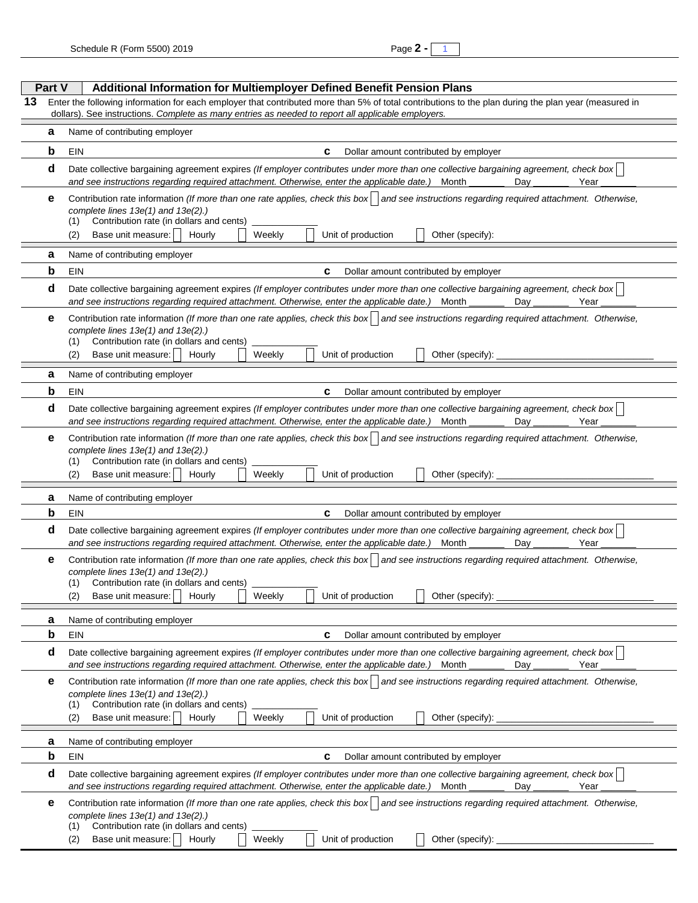1

| Part V | Additional Information for Multiemployer Defined Benefit Pension Plans                                                                                                                                                                                                                                                                               |  |
|--------|------------------------------------------------------------------------------------------------------------------------------------------------------------------------------------------------------------------------------------------------------------------------------------------------------------------------------------------------------|--|
| 13     | Enter the following information for each employer that contributed more than 5% of total contributions to the plan during the plan year (measured in<br>dollars). See instructions. Complete as many entries as needed to report all applicable employers.                                                                                           |  |
| а      | Name of contributing employer                                                                                                                                                                                                                                                                                                                        |  |
| b      | EIN<br>c<br>Dollar amount contributed by employer                                                                                                                                                                                                                                                                                                    |  |
| d      | Date collective bargaining agreement expires (If employer contributes under more than one collective bargaining agreement, check box<br>and see instructions regarding required attachment. Otherwise, enter the applicable date.)<br>Month<br>Dav<br>Year                                                                                           |  |
| е      | Contribution rate information (If more than one rate applies, check this box   and see instructions regarding required attachment. Otherwise,<br>complete lines 13e(1) and 13e(2).)<br>Contribution rate (in dollars and cents)<br>(1)<br>Base unit measure:<br>Unit of production                                                                   |  |
|        | Hourly<br>Weekly<br>(2)<br>Other (specify):                                                                                                                                                                                                                                                                                                          |  |
| а      | Name of contributing employer                                                                                                                                                                                                                                                                                                                        |  |
| b      | EIN<br>c<br>Dollar amount contributed by employer                                                                                                                                                                                                                                                                                                    |  |
| d      | Date collective bargaining agreement expires (If employer contributes under more than one collective bargaining agreement, check box<br>and see instructions regarding required attachment. Otherwise, enter the applicable date.)<br>Dav<br>Month<br>Year                                                                                           |  |
| е      | Contribution rate information (If more than one rate applies, check this box) and see instructions regarding required attachment. Otherwise,<br>complete lines 13e(1) and 13e(2).)<br>Contribution rate (in dollars and cents)<br>(1)<br>Unit of production<br>Base unit measure:<br>Hourly<br>Weekly<br>Other (specify):<br>(2)                     |  |
| а      | Name of contributing employer                                                                                                                                                                                                                                                                                                                        |  |
| b      | EIN<br>C<br>Dollar amount contributed by employer                                                                                                                                                                                                                                                                                                    |  |
| d      | Date collective bargaining agreement expires (If employer contributes under more than one collective bargaining agreement, check box<br>and see instructions regarding required attachment. Otherwise, enter the applicable date.)<br>Month<br>Dav<br>Year                                                                                           |  |
| е      | Contribution rate information (If more than one rate applies, check this box) and see instructions regarding required attachment. Otherwise,<br>complete lines 13e(1) and 13e(2).)<br>Contribution rate (in dollars and cents)<br>(1)<br>Unit of production<br>Base unit measure:<br>Hourly<br>Weekly<br>(2)<br>Other (specify):                     |  |
| а      | Name of contributing employer                                                                                                                                                                                                                                                                                                                        |  |
| b      | EIN<br>C<br>Dollar amount contributed by employer                                                                                                                                                                                                                                                                                                    |  |
| d      | Date collective bargaining agreement expires (If employer contributes under more than one collective bargaining agreement, check box<br>and see instructions regarding required attachment. Otherwise, enter the applicable date.)<br>Month<br>Dav<br>Year                                                                                           |  |
| е      | Contribution rate information (If more than one rate applies, check this box   and see instructions regarding required attachment. Otherwise,<br>complete lines 13e(1) and 13e(2).)<br>Contribution rate (in dollars and cents)<br>(1)<br>$\Box$ Unit of production<br>(2) Base unit measure: $\Box$ Hourly $\Box$ Weekly<br>$\Box$ Other (specify): |  |
| а      | Name of contributing employer                                                                                                                                                                                                                                                                                                                        |  |
| b      | C<br>EIN<br>Dollar amount contributed by employer                                                                                                                                                                                                                                                                                                    |  |
| d      | Date collective bargaining agreement expires (If employer contributes under more than one collective bargaining agreement, check box<br>and see instructions regarding required attachment. Otherwise, enter the applicable date.) Month<br>Day<br>Year                                                                                              |  |
| е      | Contribution rate information (If more than one rate applies, check this box) and see instructions regarding required attachment. Otherwise,<br>complete lines 13e(1) and 13e(2).)<br>Contribution rate (in dollars and cents)<br>(1)<br>Base unit measure:<br>Unit of production<br>Hourly<br>Weekly<br>Other (specify):<br>(2)                     |  |
| a      | Name of contributing employer                                                                                                                                                                                                                                                                                                                        |  |
| b      | EIN<br>C<br>Dollar amount contributed by employer                                                                                                                                                                                                                                                                                                    |  |
| d      | Date collective bargaining agreement expires (If employer contributes under more than one collective bargaining agreement, check box<br>and see instructions regarding required attachment. Otherwise, enter the applicable date.)<br>Dav<br>Month<br>Year                                                                                           |  |
| е      | Contribution rate information (If more than one rate applies, check this box) and see instructions regarding required attachment. Otherwise,<br>complete lines 13e(1) and 13e(2).)<br>Contribution rate (in dollars and cents)<br>(1)<br>Base unit measure:    <br>Unit of production<br>Hourly<br>Weekly<br>Other (specify):<br>(2)                 |  |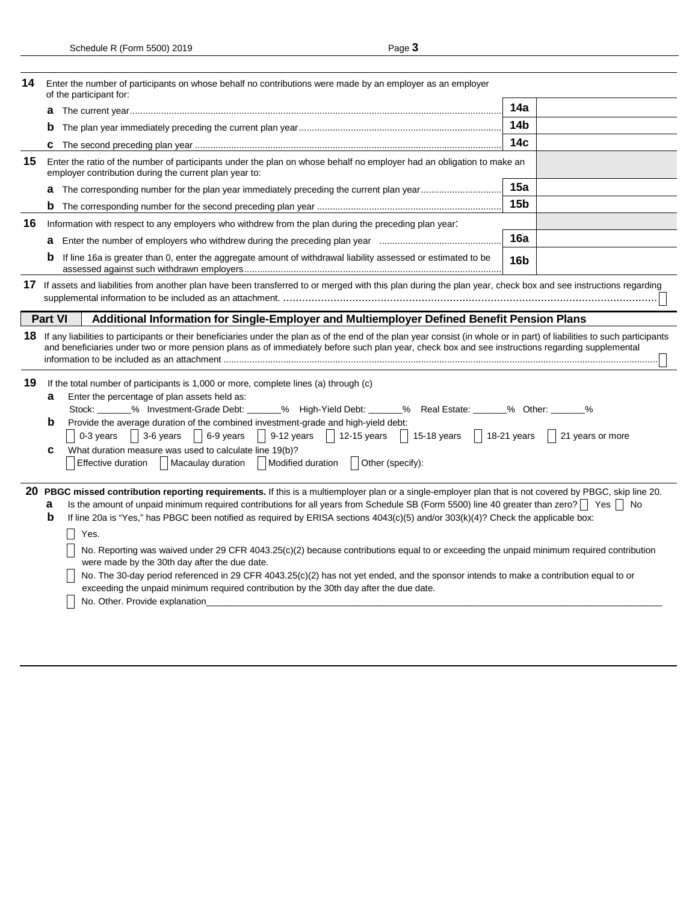Schedule R (Form 5500) 2019 **Page 3** 

| Enter the number of participants on whose behalf no contributions were made by an employer as an employer<br>of the participant for:                                                                                                                                                                                                                                                                                                                                                                                                                                                                                                                                                                                                                                                                                                                                                             |                                                                                                                      |
|--------------------------------------------------------------------------------------------------------------------------------------------------------------------------------------------------------------------------------------------------------------------------------------------------------------------------------------------------------------------------------------------------------------------------------------------------------------------------------------------------------------------------------------------------------------------------------------------------------------------------------------------------------------------------------------------------------------------------------------------------------------------------------------------------------------------------------------------------------------------------------------------------|----------------------------------------------------------------------------------------------------------------------|
|                                                                                                                                                                                                                                                                                                                                                                                                                                                                                                                                                                                                                                                                                                                                                                                                                                                                                                  | 14a                                                                                                                  |
| b                                                                                                                                                                                                                                                                                                                                                                                                                                                                                                                                                                                                                                                                                                                                                                                                                                                                                                | 14 <sub>b</sub>                                                                                                      |
| c                                                                                                                                                                                                                                                                                                                                                                                                                                                                                                                                                                                                                                                                                                                                                                                                                                                                                                | 14 <sub>c</sub>                                                                                                      |
| Enter the ratio of the number of participants under the plan on whose behalf no employer had an obligation to make an<br>employer contribution during the current plan year to:                                                                                                                                                                                                                                                                                                                                                                                                                                                                                                                                                                                                                                                                                                                  |                                                                                                                      |
| <b>a</b> The corresponding number for the plan year immediately preceding the current plan year                                                                                                                                                                                                                                                                                                                                                                                                                                                                                                                                                                                                                                                                                                                                                                                                  | 15a                                                                                                                  |
| b                                                                                                                                                                                                                                                                                                                                                                                                                                                                                                                                                                                                                                                                                                                                                                                                                                                                                                | 15 <sub>b</sub>                                                                                                      |
|                                                                                                                                                                                                                                                                                                                                                                                                                                                                                                                                                                                                                                                                                                                                                                                                                                                                                                  |                                                                                                                      |
|                                                                                                                                                                                                                                                                                                                                                                                                                                                                                                                                                                                                                                                                                                                                                                                                                                                                                                  | 16a                                                                                                                  |
| If line 16a is greater than 0, enter the aggregate amount of withdrawal liability assessed or estimated to be                                                                                                                                                                                                                                                                                                                                                                                                                                                                                                                                                                                                                                                                                                                                                                                    | 16 <sub>b</sub>                                                                                                      |
| 17 If assets and liabilities from another plan have been transferred to or merged with this plan during the plan year, check box and see instructions regarding                                                                                                                                                                                                                                                                                                                                                                                                                                                                                                                                                                                                                                                                                                                                  |                                                                                                                      |
| Additional Information for Single-Employer and Multiemployer Defined Benefit Pension Plans                                                                                                                                                                                                                                                                                                                                                                                                                                                                                                                                                                                                                                                                                                                                                                                                       |                                                                                                                      |
| <b>18</b> If any liabilities to participants or their beneficiaries under the plan as of the end of the plan year consist (in whole or in part) of liabilities to such participants<br>and beneficiaries under two or more pension plans as of immediately before such plan year, check box and see instructions regarding supplemental                                                                                                                                                                                                                                                                                                                                                                                                                                                                                                                                                          |                                                                                                                      |
| If the total number of participants is 1,000 or more, complete lines (a) through (c)<br>Enter the percentage of plan assets held as:<br>а<br>Stock: ______% Investment-Grade Debt: ______% High-Yield Debt: ______% Real Estate: ______% Other: ______%<br>Provide the average duration of the combined investment-grade and high-yield debt:<br>b<br>$\vert$ 3-6 years<br>$\vert$ 6-9 years<br>$\begin{array}{ c c c c c c } \hline \end{array}$ 9-12 years   12-15 years<br>$\vert$ 15-18 years<br>$0-3$ years<br>What duration measure was used to calculate line 19(b)?<br>c<br>Modified duration<br><b>Effective duration</b><br>Macaulay duration<br>Other (specify):                                                                                                                                                                                                                      | $\vert$ 18-21 years<br>21 years or more                                                                              |
| 20 PBGC missed contribution reporting requirements. If this is a multiemployer plan or a single-employer plan that is not covered by PBGC, skip line 20.<br>Is the amount of unpaid minimum required contributions for all years from Schedule SB (Form 5500) line 40 greater than zero?   Yes   No<br>b<br>If line 20a is "Yes," has PBGC been notified as required by ERISA sections 4043(c)(5) and/or 303(k)(4)? Check the applicable box:<br>$\sim$<br>Yes.<br>No. Reporting was waived under 29 CFR 4043.25(c)(2) because contributions equal to or exceeding the unpaid minimum required contribution<br>were made by the 30th day after the due date.<br>No. The 30-day period referenced in 29 CFR 4043.25(c)(2) has not yet ended, and the sponsor intends to make a contribution equal to or<br>exceeding the unpaid minimum required contribution by the 30th day after the due date. |                                                                                                                      |
|                                                                                                                                                                                                                                                                                                                                                                                                                                                                                                                                                                                                                                                                                                                                                                                                                                                                                                  | Information with respect to any employers who withdrew from the plan during the preceding plan year:<br>Part VI<br>a |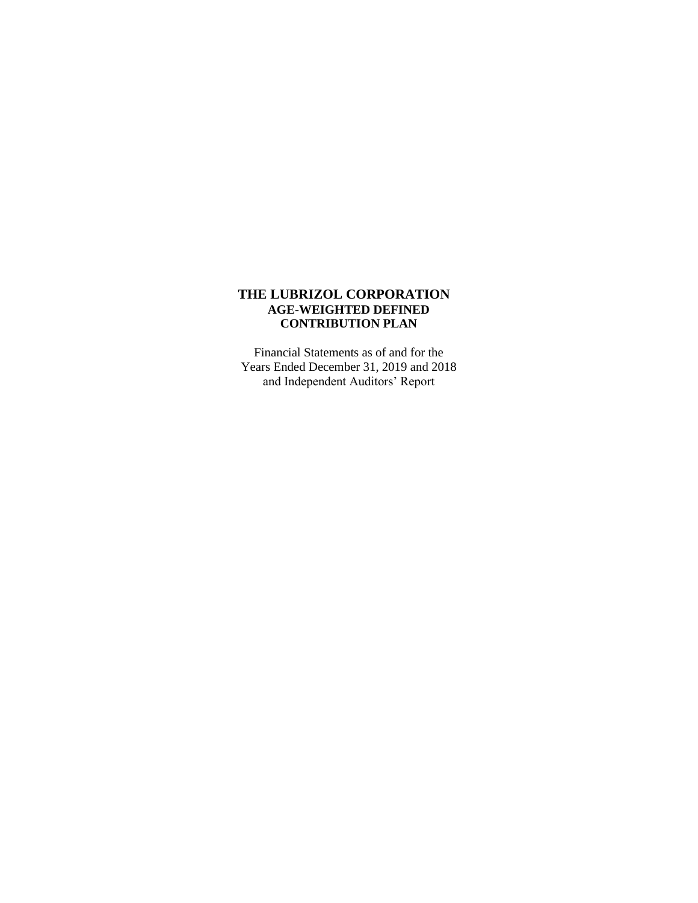Financial Statements as of and for the Years Ended December 31, 2019 and 2018 and Independent Auditors' Report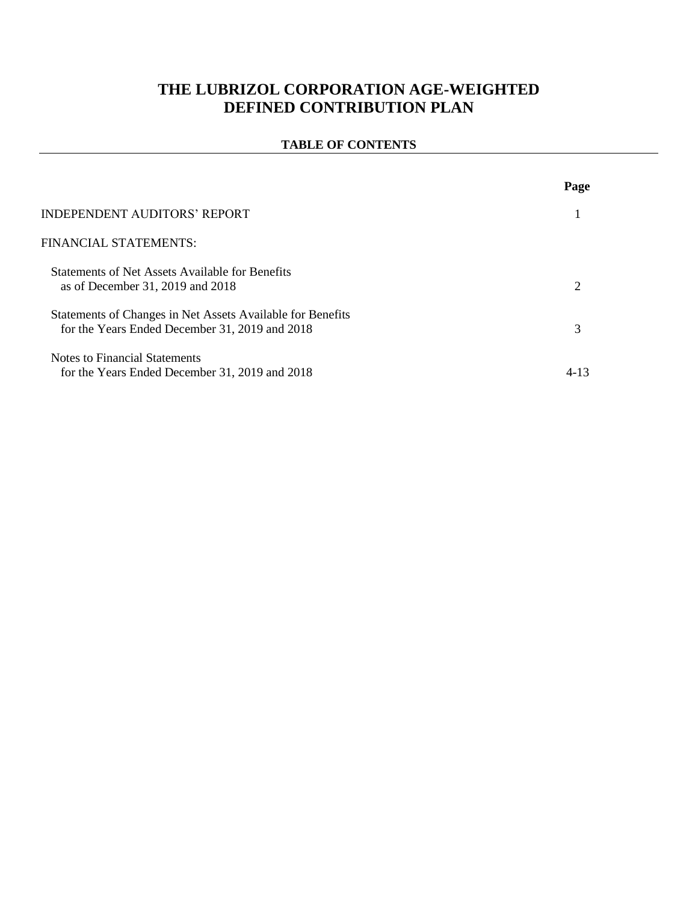# **TABLE OF CONTENTS**

|                                                                                                              | Page |
|--------------------------------------------------------------------------------------------------------------|------|
| <b>INDEPENDENT AUDITORS' REPORT</b>                                                                          |      |
| FINANCIAL STATEMENTS:                                                                                        |      |
| Statements of Net Assets Available for Benefits<br>as of December 31, 2019 and $2018$                        | 2    |
| Statements of Changes in Net Assets Available for Benefits<br>for the Years Ended December 31, 2019 and 2018 | 3    |
| Notes to Financial Statements<br>for the Years Ended December 31, 2019 and 2018                              | 4-13 |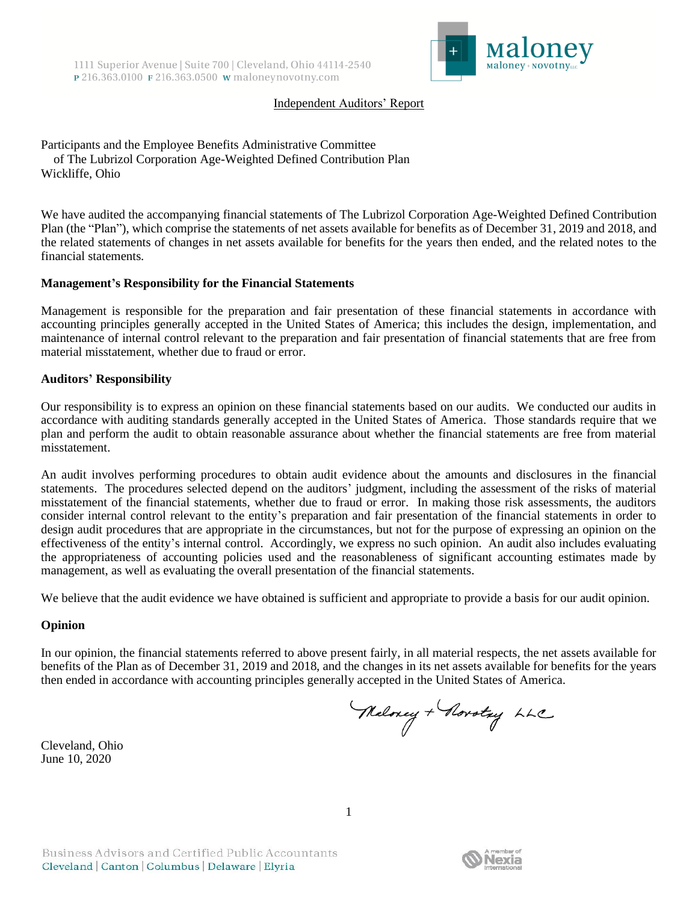

# Independent Auditors' Report

Participants and the Employee Benefits Administrative Committee of The Lubrizol Corporation Age-Weighted Defined Contribution Plan Wickliffe, Ohio

We have audited the accompanying financial statements of The Lubrizol Corporation Age-Weighted Defined Contribution Plan (the "Plan"), which comprise the statements of net assets available for benefits as of December 31, 2019 and 2018, and the related statements of changes in net assets available for benefits for the years then ended, and the related notes to the financial statements.

#### **Management's Responsibility for the Financial Statements**

Management is responsible for the preparation and fair presentation of these financial statements in accordance with accounting principles generally accepted in the United States of America; this includes the design, implementation, and maintenance of internal control relevant to the preparation and fair presentation of financial statements that are free from material misstatement, whether due to fraud or error.

#### **Auditors' Responsibility**

Our responsibility is to express an opinion on these financial statements based on our audits. We conducted our audits in accordance with auditing standards generally accepted in the United States of America. Those standards require that we plan and perform the audit to obtain reasonable assurance about whether the financial statements are free from material misstatement.

An audit involves performing procedures to obtain audit evidence about the amounts and disclosures in the financial statements. The procedures selected depend on the auditors' judgment, including the assessment of the risks of material misstatement of the financial statements, whether due to fraud or error. In making those risk assessments, the auditors consider internal control relevant to the entity's preparation and fair presentation of the financial statements in order to design audit procedures that are appropriate in the circumstances, but not for the purpose of expressing an opinion on the effectiveness of the entity's internal control. Accordingly, we express no such opinion. An audit also includes evaluating the appropriateness of accounting policies used and the reasonableness of significant accounting estimates made by management, as well as evaluating the overall presentation of the financial statements.

We believe that the audit evidence we have obtained is sufficient and appropriate to provide a basis for our audit opinion.

## **Opinion**

In our opinion, the financial statements referred to above present fairly, in all material respects, the net assets available for benefits of the Plan as of December 31, 2019 and 2018, and the changes in its net assets available for benefits for the years then ended in accordance with accounting principles generally accepted in the United States of America.

Neloney + Novotry LLC

Cleveland, Ohio June 10, 2020

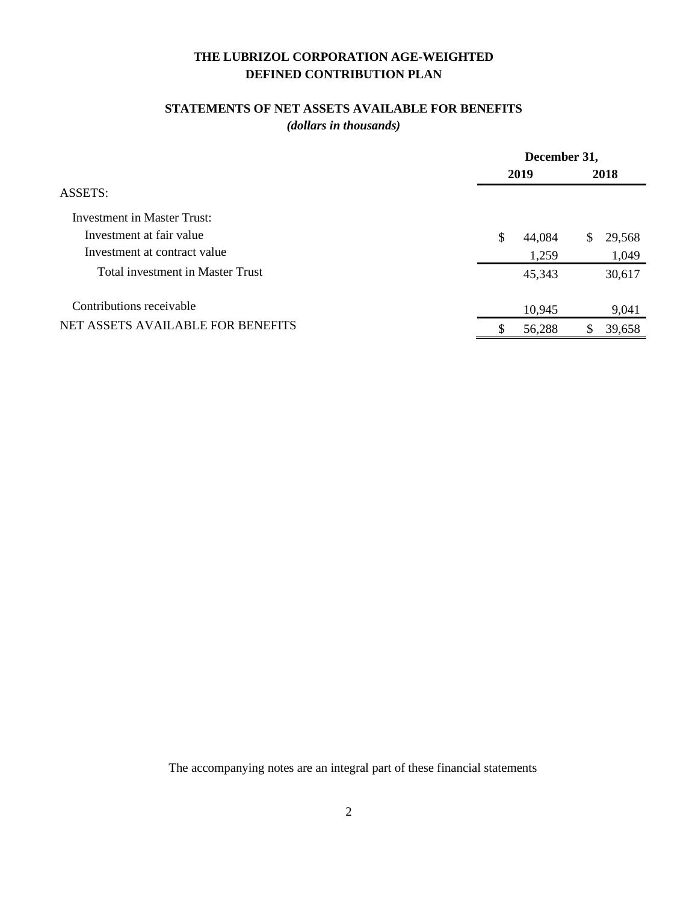# **STATEMENTS OF NET ASSETS AVAILABLE FOR BENEFITS**

*(dollars in thousands)*

|                                                                                                                                                         |              | December 31, |
|---------------------------------------------------------------------------------------------------------------------------------------------------------|--------------|--------------|
| Investment in Master Trust:<br>Investment at fair value<br>Investment at contract value<br>Total investment in Master Trust<br>Contributions receivable | 2019         | 2018         |
| <b>ASSETS:</b>                                                                                                                                          |              |              |
|                                                                                                                                                         |              |              |
|                                                                                                                                                         | \$<br>44,084 | \$<br>29,568 |
|                                                                                                                                                         | 1,259        | 1,049        |
|                                                                                                                                                         | 45,343       | 30,617       |
|                                                                                                                                                         | 10,945       | 9,041        |
| NET ASSETS AVAILABLE FOR BENEFITS                                                                                                                       | 56,288<br>\$ | 39,658<br>S  |

The accompanying notes are an integral part of these financial statements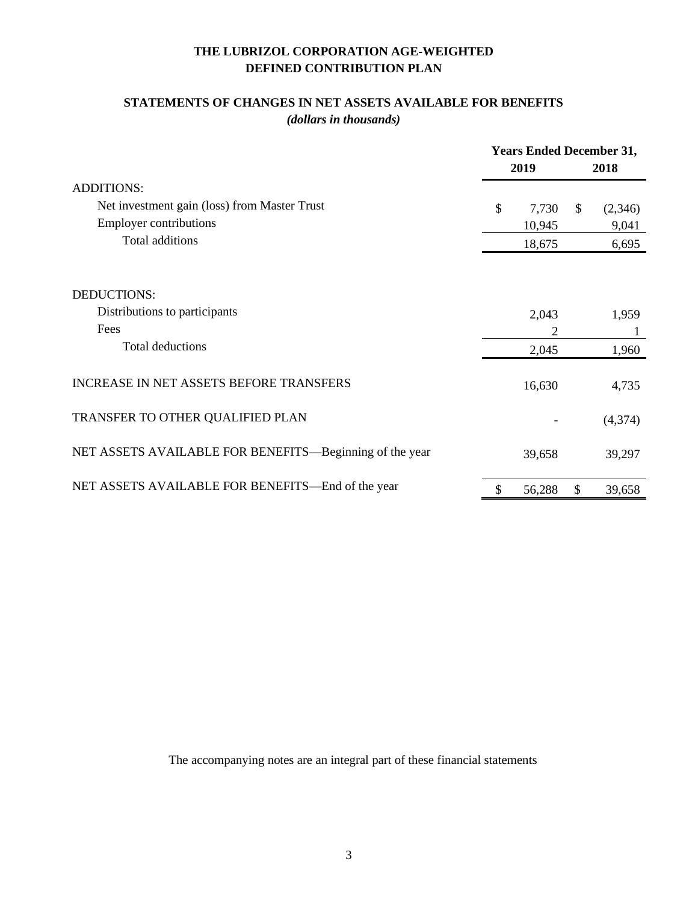# **STATEMENTS OF CHANGES IN NET ASSETS AVAILABLE FOR BENEFITS** *(dollars in thousands)*

|                                                                               |    |                 | <b>Years Ended December 31,</b> |                  |  |
|-------------------------------------------------------------------------------|----|-----------------|---------------------------------|------------------|--|
| <b>ADDITIONS:</b>                                                             |    | 2019            |                                 | 2018             |  |
| Net investment gain (loss) from Master Trust<br><b>Employer contributions</b> | \$ | 7,730<br>10,945 | \$                              | (2,346)<br>9,041 |  |
| Total additions                                                               |    | 18,675          |                                 | 6,695            |  |
| <b>DEDUCTIONS:</b>                                                            |    |                 |                                 |                  |  |
| Distributions to participants                                                 |    | 2,043           |                                 | 1,959            |  |
| Fees                                                                          |    | 2               |                                 |                  |  |
| <b>Total deductions</b>                                                       |    | 2,045           |                                 | 1,960            |  |
| <b>INCREASE IN NET ASSETS BEFORE TRANSFERS</b>                                |    | 16,630          |                                 | 4,735            |  |
| TRANSFER TO OTHER QUALIFIED PLAN                                              |    |                 |                                 | (4,374)          |  |
| NET ASSETS AVAILABLE FOR BENEFITS—Beginning of the year                       |    | 39,658          |                                 | 39,297           |  |
| NET ASSETS AVAILABLE FOR BENEFITS—End of the year                             | S  | 56,288          | \$                              | 39,658           |  |

The accompanying notes are an integral part of these financial statements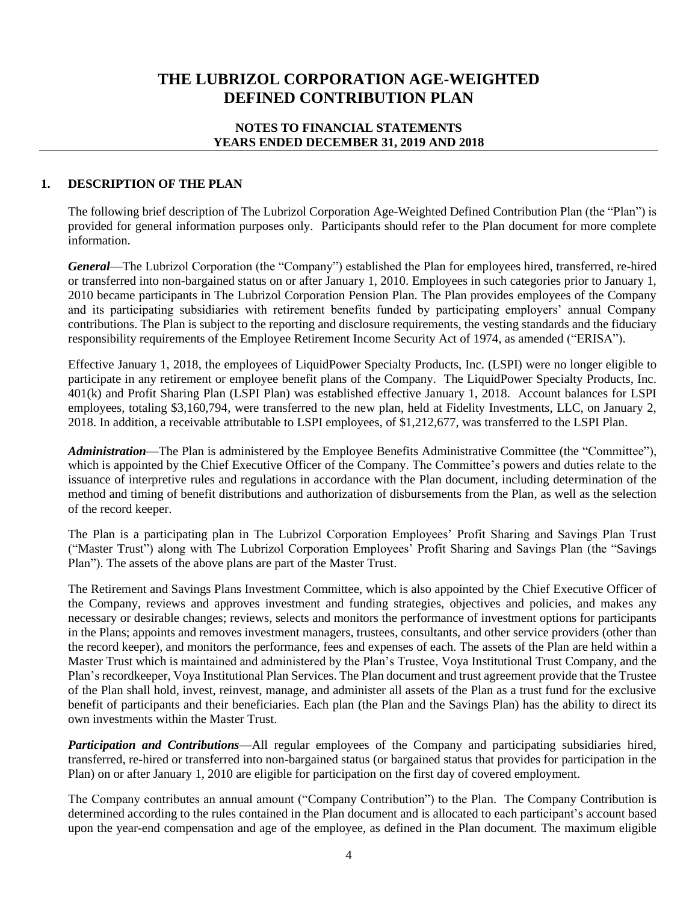# **NOTES TO FINANCIAL STATEMENTS YEARS ENDED DECEMBER 31, 2019 AND 2018**

## **1. DESCRIPTION OF THE PLAN**

The following brief description of The Lubrizol Corporation Age-Weighted Defined Contribution Plan (the "Plan") is provided for general information purposes only. Participants should refer to the Plan document for more complete information.

*General*—The Lubrizol Corporation (the "Company") established the Plan for employees hired, transferred, re-hired or transferred into non-bargained status on or after January 1, 2010. Employees in such categories prior to January 1, 2010 became participants in The Lubrizol Corporation Pension Plan. The Plan provides employees of the Company and its participating subsidiaries with retirement benefits funded by participating employers' annual Company contributions. The Plan is subject to the reporting and disclosure requirements, the vesting standards and the fiduciary responsibility requirements of the Employee Retirement Income Security Act of 1974, as amended ("ERISA").

Effective January 1, 2018, the employees of LiquidPower Specialty Products, Inc. (LSPI) were no longer eligible to participate in any retirement or employee benefit plans of the Company. The LiquidPower Specialty Products, Inc. 401(k) and Profit Sharing Plan (LSPI Plan) was established effective January 1, 2018. Account balances for LSPI employees, totaling \$3,160,794, were transferred to the new plan, held at Fidelity Investments, LLC, on January 2, 2018. In addition, a receivable attributable to LSPI employees, of \$1,212,677, was transferred to the LSPI Plan.

Administration—The Plan is administered by the Employee Benefits Administrative Committee (the "Committee"), which is appointed by the Chief Executive Officer of the Company. The Committee's powers and duties relate to the issuance of interpretive rules and regulations in accordance with the Plan document, including determination of the method and timing of benefit distributions and authorization of disbursements from the Plan, as well as the selection of the record keeper.

The Plan is a participating plan in The Lubrizol Corporation Employees' Profit Sharing and Savings Plan Trust ("Master Trust") along with The Lubrizol Corporation Employees' Profit Sharing and Savings Plan (the "Savings Plan"). The assets of the above plans are part of the Master Trust.

The Retirement and Savings Plans Investment Committee, which is also appointed by the Chief Executive Officer of the Company, reviews and approves investment and funding strategies, objectives and policies, and makes any necessary or desirable changes; reviews, selects and monitors the performance of investment options for participants in the Plans; appoints and removes investment managers, trustees, consultants, and other service providers (other than the record keeper), and monitors the performance, fees and expenses of each. The assets of the Plan are held within a Master Trust which is maintained and administered by the Plan's Trustee, Voya Institutional Trust Company, and the Plan's recordkeeper, Voya Institutional Plan Services. The Plan document and trust agreement provide that the Trustee of the Plan shall hold, invest, reinvest, manage, and administer all assets of the Plan as a trust fund for the exclusive benefit of participants and their beneficiaries. Each plan (the Plan and the Savings Plan) has the ability to direct its own investments within the Master Trust.

*Participation and Contributions*—All regular employees of the Company and participating subsidiaries hired, transferred, re-hired or transferred into non-bargained status (or bargained status that provides for participation in the Plan) on or after January 1, 2010 are eligible for participation on the first day of covered employment.

The Company contributes an annual amount ("Company Contribution") to the Plan. The Company Contribution is determined according to the rules contained in the Plan document and is allocated to each participant's account based upon the year-end compensation and age of the employee, as defined in the Plan document. The maximum eligible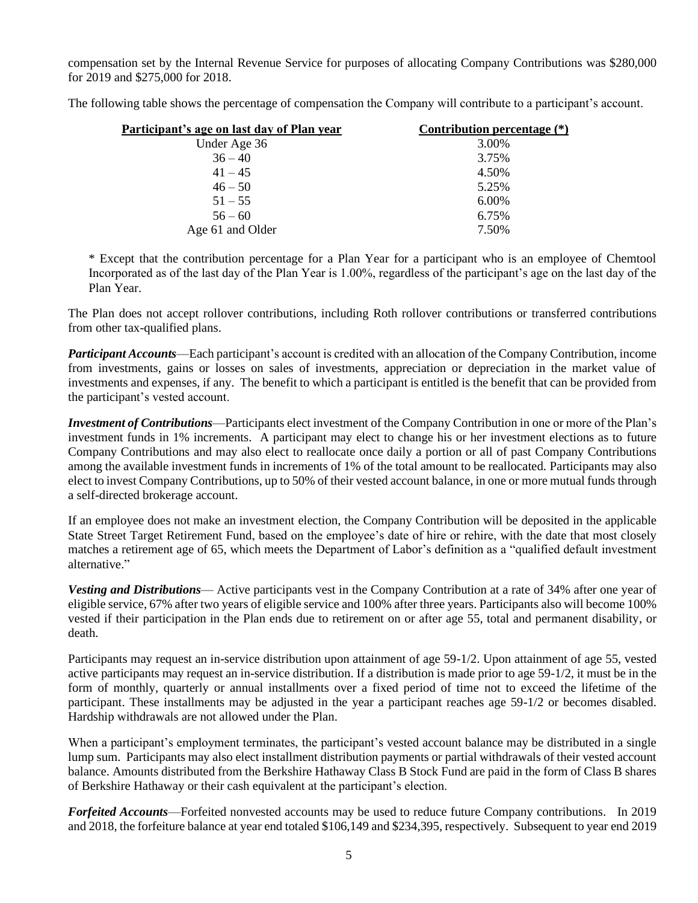compensation set by the Internal Revenue Service for purposes of allocating Company Contributions was \$280,000 for 2019 and \$275,000 for 2018.

| Participant's age on last day of Plan year | Contribution percentage (*) |
|--------------------------------------------|-----------------------------|
| Under Age 36                               | 3.00%                       |
| $36 - 40$                                  | 3.75%                       |
| $41 - 45$                                  | 4.50%                       |
| $46 - 50$                                  | 5.25%                       |
| $51 - 55$                                  | 6.00%                       |
| $56 - 60$                                  | 6.75%                       |
| Age 61 and Older                           | 7.50%                       |

The following table shows the percentage of compensation the Company will contribute to a participant's account.

\* Except that the contribution percentage for a Plan Year for a participant who is an employee of Chemtool Incorporated as of the last day of the Plan Year is 1.00%, regardless of the participant's age on the last day of the Plan Year.

The Plan does not accept rollover contributions, including Roth rollover contributions or transferred contributions from other tax-qualified plans.

*Participant Accounts*—Each participant's account is credited with an allocation of the Company Contribution, income from investments, gains or losses on sales of investments, appreciation or depreciation in the market value of investments and expenses, if any. The benefit to which a participant is entitled is the benefit that can be provided from the participant's vested account.

*Investment of Contributions*—Participants elect investment of the Company Contribution in one or more of the Plan's investment funds in 1% increments. A participant may elect to change his or her investment elections as to future Company Contributions and may also elect to reallocate once daily a portion or all of past Company Contributions among the available investment funds in increments of 1% of the total amount to be reallocated. Participants may also elect to invest Company Contributions, up to 50% of their vested account balance, in one or more mutual funds through a self-directed brokerage account.

If an employee does not make an investment election, the Company Contribution will be deposited in the applicable State Street Target Retirement Fund, based on the employee's date of hire or rehire, with the date that most closely matches a retirement age of 65, which meets the Department of Labor's definition as a "qualified default investment alternative."

*Vesting and Distributions*— Active participants vest in the Company Contribution at a rate of 34% after one year of eligible service, 67% after two years of eligible service and 100% after three years. Participants also will become 100% vested if their participation in the Plan ends due to retirement on or after age 55, total and permanent disability, or death.

Participants may request an in-service distribution upon attainment of age 59-1/2. Upon attainment of age 55, vested active participants may request an in-service distribution. If a distribution is made prior to age 59-1/2, it must be in the form of monthly, quarterly or annual installments over a fixed period of time not to exceed the lifetime of the participant. These installments may be adjusted in the year a participant reaches age 59-1/2 or becomes disabled. Hardship withdrawals are not allowed under the Plan.

When a participant's employment terminates, the participant's vested account balance may be distributed in a single lump sum. Participants may also elect installment distribution payments or partial withdrawals of their vested account balance. Amounts distributed from the Berkshire Hathaway Class B Stock Fund are paid in the form of Class B shares of Berkshire Hathaway or their cash equivalent at the participant's election.

*Forfeited Accounts*—Forfeited nonvested accounts may be used to reduce future Company contributions. In 2019 and 2018, the forfeiture balance at year end totaled \$106,149 and \$234,395, respectively. Subsequent to year end 2019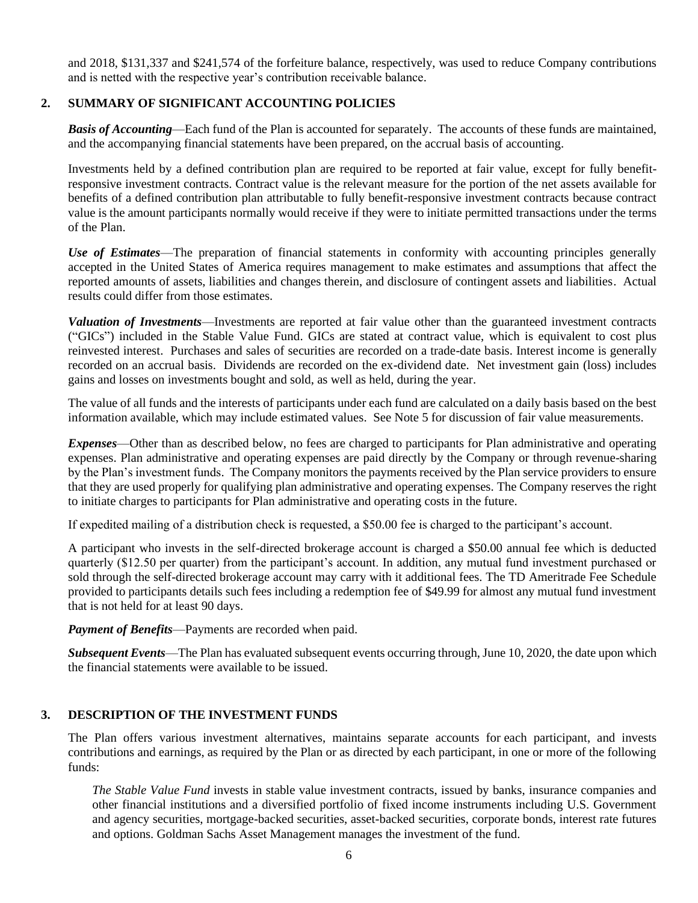and 2018, \$131,337 and \$241,574 of the forfeiture balance, respectively, was used to reduce Company contributions and is netted with the respective year's contribution receivable balance.

# **2. SUMMARY OF SIGNIFICANT ACCOUNTING POLICIES**

*Basis of Accounting*—Each fund of the Plan is accounted for separately. The accounts of these funds are maintained, and the accompanying financial statements have been prepared, on the accrual basis of accounting.

Investments held by a defined contribution plan are required to be reported at fair value, except for fully benefitresponsive investment contracts. Contract value is the relevant measure for the portion of the net assets available for benefits of a defined contribution plan attributable to fully benefit-responsive investment contracts because contract value is the amount participants normally would receive if they were to initiate permitted transactions under the terms of the Plan.

*Use of Estimates*—The preparation of financial statements in conformity with accounting principles generally accepted in the United States of America requires management to make estimates and assumptions that affect the reported amounts of assets, liabilities and changes therein, and disclosure of contingent assets and liabilities. Actual results could differ from those estimates.

*Valuation of Investments*—Investments are reported at fair value other than the guaranteed investment contracts ("GICs") included in the Stable Value Fund. GICs are stated at contract value, which is equivalent to cost plus reinvested interest. Purchases and sales of securities are recorded on a trade-date basis. Interest income is generally recorded on an accrual basis. Dividends are recorded on the ex-dividend date. Net investment gain (loss) includes gains and losses on investments bought and sold, as well as held, during the year.

The value of all funds and the interests of participants under each fund are calculated on a daily basis based on the best information available, which may include estimated values. See Note 5 for discussion of fair value measurements.

*Expenses*—Other than as described below, no fees are charged to participants for Plan administrative and operating expenses. Plan administrative and operating expenses are paid directly by the Company or through revenue-sharing by the Plan's investment funds. The Company monitors the payments received by the Plan service providers to ensure that they are used properly for qualifying plan administrative and operating expenses. The Company reserves the right to initiate charges to participants for Plan administrative and operating costs in the future.

If expedited mailing of a distribution check is requested, a \$50.00 fee is charged to the participant's account.

A participant who invests in the self-directed brokerage account is charged a \$50.00 annual fee which is deducted quarterly (\$12.50 per quarter) from the participant's account. In addition, any mutual fund investment purchased or sold through the self-directed brokerage account may carry with it additional fees. The TD Ameritrade Fee Schedule provided to participants details such fees including a redemption fee of \$49.99 for almost any mutual fund investment that is not held for at least 90 days.

*Payment of Benefits*—Payments are recorded when paid.

*Subsequent Events*—The Plan has evaluated subsequent events occurring through, June 10, 2020, the date upon which the financial statements were available to be issued.

## **3. DESCRIPTION OF THE INVESTMENT FUNDS**

The Plan offers various investment alternatives, maintains separate accounts for each participant, and invests contributions and earnings, as required by the Plan or as directed by each participant, in one or more of the following funds:

*The Stable Value Fund* invests in stable value investment contracts, issued by banks, insurance companies and other financial institutions and a diversified portfolio of fixed income instruments including U.S. Government and agency securities, mortgage-backed securities, asset-backed securities, corporate bonds, interest rate futures and options. Goldman Sachs Asset Management manages the investment of the fund.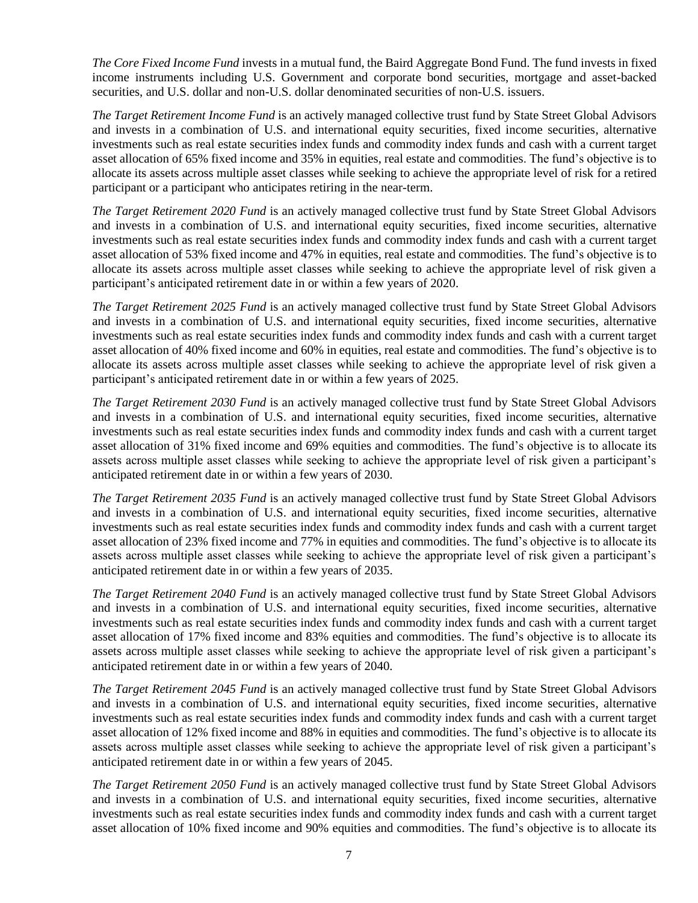*The Core Fixed Income Fund* invests in a mutual fund, the Baird Aggregate Bond Fund. The fund invests in fixed income instruments including U.S. Government and corporate bond securities, mortgage and asset-backed securities, and U.S. dollar and non-U.S. dollar denominated securities of non-U.S. issuers.

*The Target Retirement Income Fund* is an actively managed collective trust fund by State Street Global Advisors and invests in a combination of U.S. and international equity securities, fixed income securities, alternative investments such as real estate securities index funds and commodity index funds and cash with a current target asset allocation of 65% fixed income and 35% in equities, real estate and commodities. The fund's objective is to allocate its assets across multiple asset classes while seeking to achieve the appropriate level of risk for a retired participant or a participant who anticipates retiring in the near-term.

*The Target Retirement 2020 Fund* is an actively managed collective trust fund by State Street Global Advisors and invests in a combination of U.S. and international equity securities, fixed income securities, alternative investments such as real estate securities index funds and commodity index funds and cash with a current target asset allocation of 53% fixed income and 47% in equities, real estate and commodities. The fund's objective is to allocate its assets across multiple asset classes while seeking to achieve the appropriate level of risk given a participant's anticipated retirement date in or within a few years of 2020.

*The Target Retirement 2025 Fund* is an actively managed collective trust fund by State Street Global Advisors and invests in a combination of U.S. and international equity securities, fixed income securities, alternative investments such as real estate securities index funds and commodity index funds and cash with a current target asset allocation of 40% fixed income and 60% in equities, real estate and commodities. The fund's objective is to allocate its assets across multiple asset classes while seeking to achieve the appropriate level of risk given a participant's anticipated retirement date in or within a few years of 2025.

*The Target Retirement 2030 Fund* is an actively managed collective trust fund by State Street Global Advisors and invests in a combination of U.S. and international equity securities, fixed income securities, alternative investments such as real estate securities index funds and commodity index funds and cash with a current target asset allocation of 31% fixed income and 69% equities and commodities. The fund's objective is to allocate its assets across multiple asset classes while seeking to achieve the appropriate level of risk given a participant's anticipated retirement date in or within a few years of 2030.

*The Target Retirement 2035 Fund* is an actively managed collective trust fund by State Street Global Advisors and invests in a combination of U.S. and international equity securities, fixed income securities, alternative investments such as real estate securities index funds and commodity index funds and cash with a current target asset allocation of 23% fixed income and 77% in equities and commodities. The fund's objective is to allocate its assets across multiple asset classes while seeking to achieve the appropriate level of risk given a participant's anticipated retirement date in or within a few years of 2035.

*The Target Retirement 2040 Fund* is an actively managed collective trust fund by State Street Global Advisors and invests in a combination of U.S. and international equity securities, fixed income securities, alternative investments such as real estate securities index funds and commodity index funds and cash with a current target asset allocation of 17% fixed income and 83% equities and commodities. The fund's objective is to allocate its assets across multiple asset classes while seeking to achieve the appropriate level of risk given a participant's anticipated retirement date in or within a few years of 2040.

*The Target Retirement 2045 Fund* is an actively managed collective trust fund by State Street Global Advisors and invests in a combination of U.S. and international equity securities, fixed income securities, alternative investments such as real estate securities index funds and commodity index funds and cash with a current target asset allocation of 12% fixed income and 88% in equities and commodities. The fund's objective is to allocate its assets across multiple asset classes while seeking to achieve the appropriate level of risk given a participant's anticipated retirement date in or within a few years of 2045.

*The Target Retirement 2050 Fund* is an actively managed collective trust fund by State Street Global Advisors and invests in a combination of U.S. and international equity securities, fixed income securities, alternative investments such as real estate securities index funds and commodity index funds and cash with a current target asset allocation of 10% fixed income and 90% equities and commodities. The fund's objective is to allocate its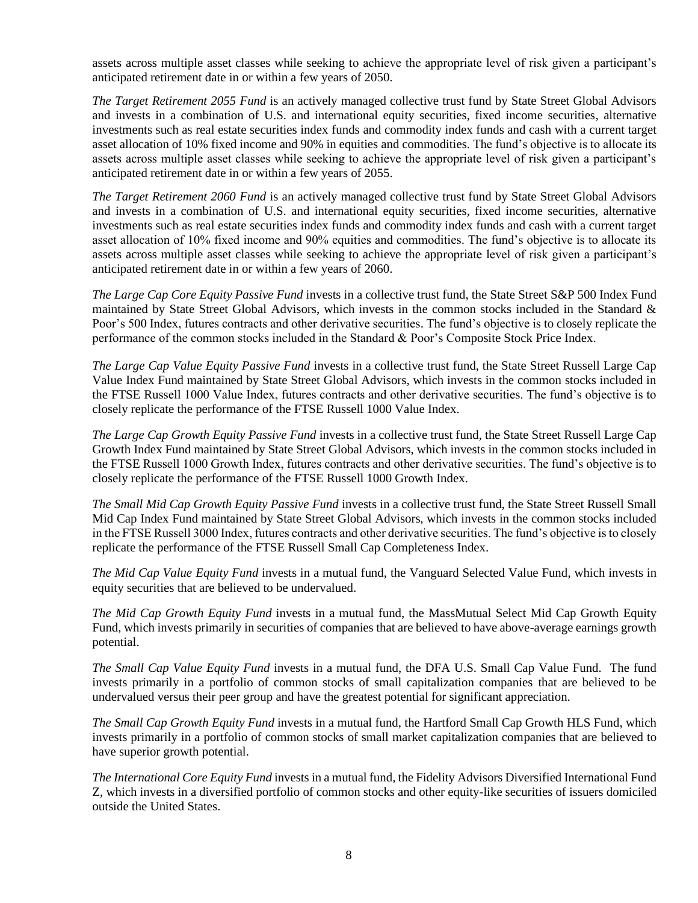assets across multiple asset classes while seeking to achieve the appropriate level of risk given a participant's anticipated retirement date in or within a few years of 2050.

*The Target Retirement 2055 Fund* is an actively managed collective trust fund by State Street Global Advisors and invests in a combination of U.S. and international equity securities, fixed income securities, alternative investments such as real estate securities index funds and commodity index funds and cash with a current target asset allocation of 10% fixed income and 90% in equities and commodities. The fund's objective is to allocate its assets across multiple asset classes while seeking to achieve the appropriate level of risk given a participant's anticipated retirement date in or within a few years of 2055.

*The Target Retirement 2060 Fund* is an actively managed collective trust fund by State Street Global Advisors and invests in a combination of U.S. and international equity securities, fixed income securities, alternative investments such as real estate securities index funds and commodity index funds and cash with a current target asset allocation of 10% fixed income and 90% equities and commodities. The fund's objective is to allocate its assets across multiple asset classes while seeking to achieve the appropriate level of risk given a participant's anticipated retirement date in or within a few years of 2060.

*The Large Cap Core Equity Passive Fund* invests in a collective trust fund, the State Street S&P 500 Index Fund maintained by State Street Global Advisors, which invests in the common stocks included in the Standard & Poor's 500 Index, futures contracts and other derivative securities. The fund's objective is to closely replicate the performance of the common stocks included in the Standard & Poor's Composite Stock Price Index.

*The Large Cap Value Equity Passive Fund* invests in a collective trust fund, the State Street Russell Large Cap Value Index Fund maintained by State Street Global Advisors, which invests in the common stocks included in the FTSE Russell 1000 Value Index, futures contracts and other derivative securities. The fund's objective is to closely replicate the performance of the FTSE Russell 1000 Value Index.

*The Large Cap Growth Equity Passive Fund* invests in a collective trust fund, the State Street Russell Large Cap Growth Index Fund maintained by State Street Global Advisors, which invests in the common stocks included in the FTSE Russell 1000 Growth Index, futures contracts and other derivative securities. The fund's objective is to closely replicate the performance of the FTSE Russell 1000 Growth Index.

*The Small Mid Cap Growth Equity Passive Fund* invests in a collective trust fund, the State Street Russell Small Mid Cap Index Fund maintained by State Street Global Advisors, which invests in the common stocks included in the FTSE Russell 3000 Index, futures contracts and other derivative securities. The fund's objective is to closely replicate the performance of the FTSE Russell Small Cap Completeness Index.

*The Mid Cap Value Equity Fund* invests in a mutual fund, the Vanguard Selected Value Fund, which invests in equity securities that are believed to be undervalued.

*The Mid Cap Growth Equity Fund* invests in a mutual fund, the MassMutual Select Mid Cap Growth Equity Fund, which invests primarily in securities of companies that are believed to have above-average earnings growth potential.

*The Small Cap Value Equity Fund* invests in a mutual fund, the DFA U.S. Small Cap Value Fund. The fund invests primarily in a portfolio of common stocks of small capitalization companies that are believed to be undervalued versus their peer group and have the greatest potential for significant appreciation.

*The Small Cap Growth Equity Fund* invests in a mutual fund, the Hartford Small Cap Growth HLS Fund, which invests primarily in a portfolio of common stocks of small market capitalization companies that are believed to have superior growth potential.

*The International Core Equity Fund* invests in a mutual fund, the Fidelity Advisors Diversified International Fund Z, which invests in a diversified portfolio of common stocks and other equity-like securities of issuers domiciled outside the United States.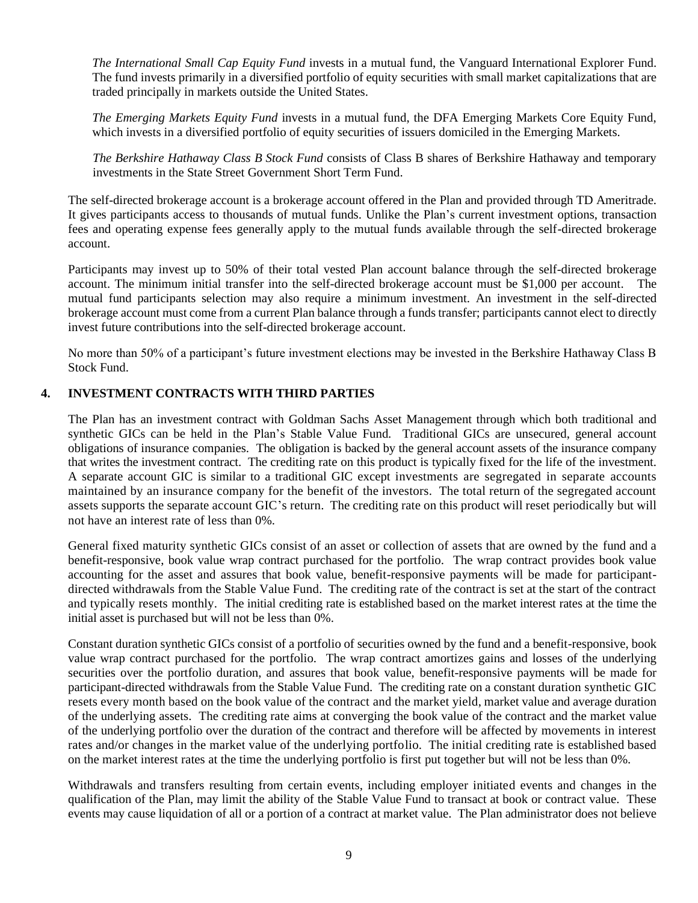*The International Small Cap Equity Fund* invests in a mutual fund, the Vanguard International Explorer Fund. The fund invests primarily in a diversified portfolio of equity securities with small market capitalizations that are traded principally in markets outside the United States.

*The Emerging Markets Equity Fund* invests in a mutual fund, the DFA Emerging Markets Core Equity Fund, which invests in a diversified portfolio of equity securities of issuers domiciled in the Emerging Markets.

*The Berkshire Hathaway Class B Stock Fund* consists of Class B shares of Berkshire Hathaway and temporary investments in the State Street Government Short Term Fund.

The self-directed brokerage account is a brokerage account offered in the Plan and provided through TD Ameritrade. It gives participants access to thousands of mutual funds. Unlike the Plan's current investment options, transaction fees and operating expense fees generally apply to the mutual funds available through the self-directed brokerage account.

Participants may invest up to 50% of their total vested Plan account balance through the self-directed brokerage account. The minimum initial transfer into the self-directed brokerage account must be \$1,000 per account. The mutual fund participants selection may also require a minimum investment. An investment in the self-directed brokerage account must come from a current Plan balance through a funds transfer; participants cannot elect to directly invest future contributions into the self-directed brokerage account.

No more than 50% of a participant's future investment elections may be invested in the Berkshire Hathaway Class B Stock Fund.

## **4. INVESTMENT CONTRACTS WITH THIRD PARTIES**

The Plan has an investment contract with Goldman Sachs Asset Management through which both traditional and synthetic GICs can be held in the Plan's Stable Value Fund. Traditional GICs are unsecured, general account obligations of insurance companies. The obligation is backed by the general account assets of the insurance company that writes the investment contract. The crediting rate on this product is typically fixed for the life of the investment. A separate account GIC is similar to a traditional GIC except investments are segregated in separate accounts maintained by an insurance company for the benefit of the investors. The total return of the segregated account assets supports the separate account GIC's return. The crediting rate on this product will reset periodically but will not have an interest rate of less than 0%.

General fixed maturity synthetic GICs consist of an asset or collection of assets that are owned by the fund and a benefit-responsive, book value wrap contract purchased for the portfolio. The wrap contract provides book value accounting for the asset and assures that book value, benefit-responsive payments will be made for participantdirected withdrawals from the Stable Value Fund. The crediting rate of the contract is set at the start of the contract and typically resets monthly. The initial crediting rate is established based on the market interest rates at the time the initial asset is purchased but will not be less than 0%.

Constant duration synthetic GICs consist of a portfolio of securities owned by the fund and a benefit-responsive, book value wrap contract purchased for the portfolio. The wrap contract amortizes gains and losses of the underlying securities over the portfolio duration, and assures that book value, benefit-responsive payments will be made for participant-directed withdrawals from the Stable Value Fund. The crediting rate on a constant duration synthetic GIC resets every month based on the book value of the contract and the market yield, market value and average duration of the underlying assets. The crediting rate aims at converging the book value of the contract and the market value of the underlying portfolio over the duration of the contract and therefore will be affected by movements in interest rates and/or changes in the market value of the underlying portfolio. The initial crediting rate is established based on the market interest rates at the time the underlying portfolio is first put together but will not be less than 0%.

Withdrawals and transfers resulting from certain events, including employer initiated events and changes in the qualification of the Plan, may limit the ability of the Stable Value Fund to transact at book or contract value. These events may cause liquidation of all or a portion of a contract at market value. The Plan administrator does not believe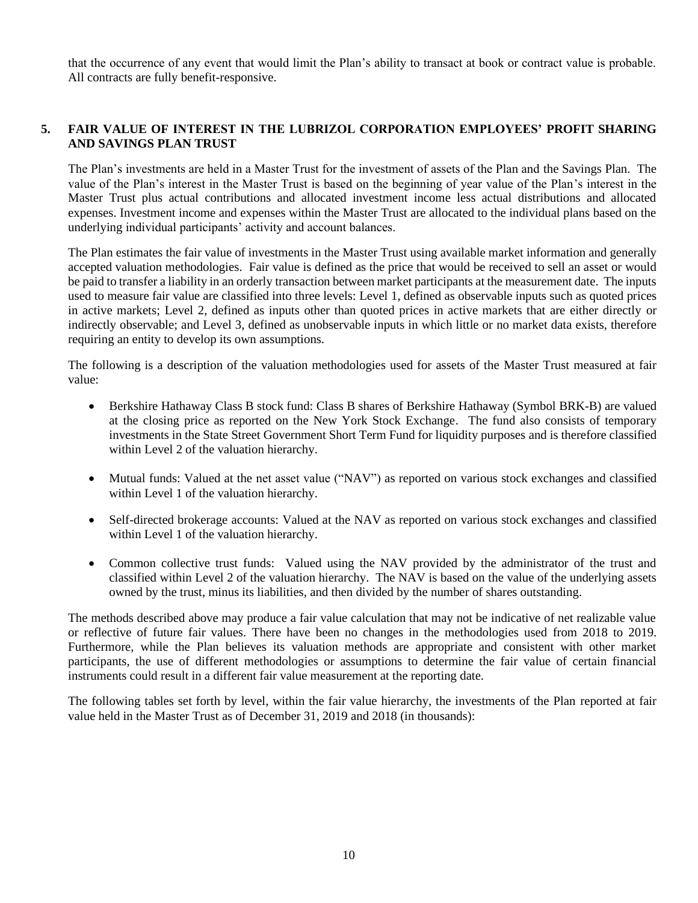that the occurrence of any event that would limit the Plan's ability to transact at book or contract value is probable. All contracts are fully benefit-responsive.

# **5. FAIR VALUE OF INTEREST IN THE LUBRIZOL CORPORATION EMPLOYEES' PROFIT SHARING AND SAVINGS PLAN TRUST**

The Plan's investments are held in a Master Trust for the investment of assets of the Plan and the Savings Plan. The value of the Plan's interest in the Master Trust is based on the beginning of year value of the Plan's interest in the Master Trust plus actual contributions and allocated investment income less actual distributions and allocated expenses. Investment income and expenses within the Master Trust are allocated to the individual plans based on the underlying individual participants' activity and account balances.

The Plan estimates the fair value of investments in the Master Trust using available market information and generally accepted valuation methodologies. Fair value is defined as the price that would be received to sell an asset or would be paid to transfer a liability in an orderly transaction between market participants at the measurement date. The inputs used to measure fair value are classified into three levels: Level 1, defined as observable inputs such as quoted prices in active markets; Level 2, defined as inputs other than quoted prices in active markets that are either directly or indirectly observable; and Level 3, defined as unobservable inputs in which little or no market data exists, therefore requiring an entity to develop its own assumptions.

The following is a description of the valuation methodologies used for assets of the Master Trust measured at fair value:

- Berkshire Hathaway Class B stock fund: Class B shares of Berkshire Hathaway (Symbol BRK-B) are valued at the closing price as reported on the New York Stock Exchange. The fund also consists of temporary investments in the State Street Government Short Term Fund for liquidity purposes and is therefore classified within Level 2 of the valuation hierarchy.
- Mutual funds: Valued at the net asset value ("NAV") as reported on various stock exchanges and classified within Level 1 of the valuation hierarchy.
- Self-directed brokerage accounts: Valued at the NAV as reported on various stock exchanges and classified within Level 1 of the valuation hierarchy.
- Common collective trust funds: Valued using the NAV provided by the administrator of the trust and classified within Level 2 of the valuation hierarchy. The NAV is based on the value of the underlying assets owned by the trust, minus its liabilities, and then divided by the number of shares outstanding.

The methods described above may produce a fair value calculation that may not be indicative of net realizable value or reflective of future fair values. There have been no changes in the methodologies used from 2018 to 2019. Furthermore, while the Plan believes its valuation methods are appropriate and consistent with other market participants, the use of different methodologies or assumptions to determine the fair value of certain financial instruments could result in a different fair value measurement at the reporting date.

The following tables set forth by level, within the fair value hierarchy, the investments of the Plan reported at fair value held in the Master Trust as of December 31, 2019 and 2018 (in thousands):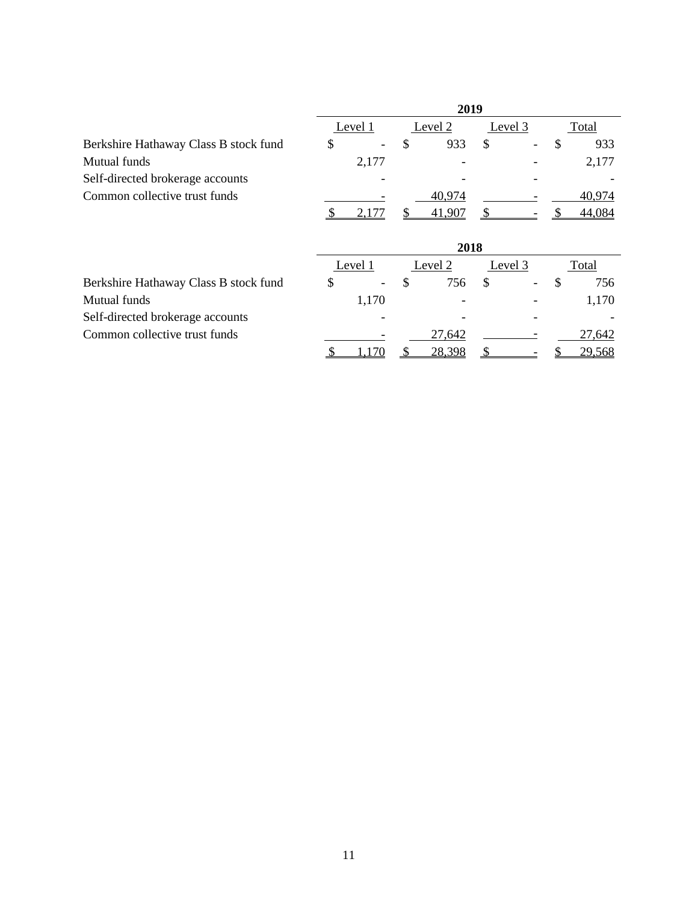|                                       | 2019 |         |  |         |         |   |               |        |  |  |
|---------------------------------------|------|---------|--|---------|---------|---|---------------|--------|--|--|
|                                       |      | Level 1 |  | Level 2 | Level 3 |   |               | Total  |  |  |
| Berkshire Hathaway Class B stock fund |      | -       |  | 933     | S       | - | <sup>\$</sup> | 933    |  |  |
| Mutual funds                          |      | 2,177   |  |         |         |   |               | 2,177  |  |  |
| Self-directed brokerage accounts      |      |         |  |         |         |   |               |        |  |  |
| Common collective trust funds         |      |         |  | 40,974  |         |   |               | 40,974 |  |  |
|                                       |      |         |  | 41,907  |         |   |               |        |  |  |

|                                       | 2018 |         |  |        |   |         |         |        |  |       |
|---------------------------------------|------|---------|--|--------|---|---------|---------|--------|--|-------|
|                                       |      | Level 1 |  |        |   | Level 2 | Level 3 |        |  | Total |
| Berkshire Hathaway Class B stock fund |      | -       |  | 756    | S | -       |         | 756    |  |       |
| Mutual funds                          |      | 1,170   |  | -      |   |         |         | 1,170  |  |       |
| Self-directed brokerage accounts      |      |         |  |        |   |         |         |        |  |       |
| Common collective trust funds         |      |         |  | 27.642 |   |         |         | 27,642 |  |       |
|                                       |      |         |  | 28,398 |   |         |         | 29,568 |  |       |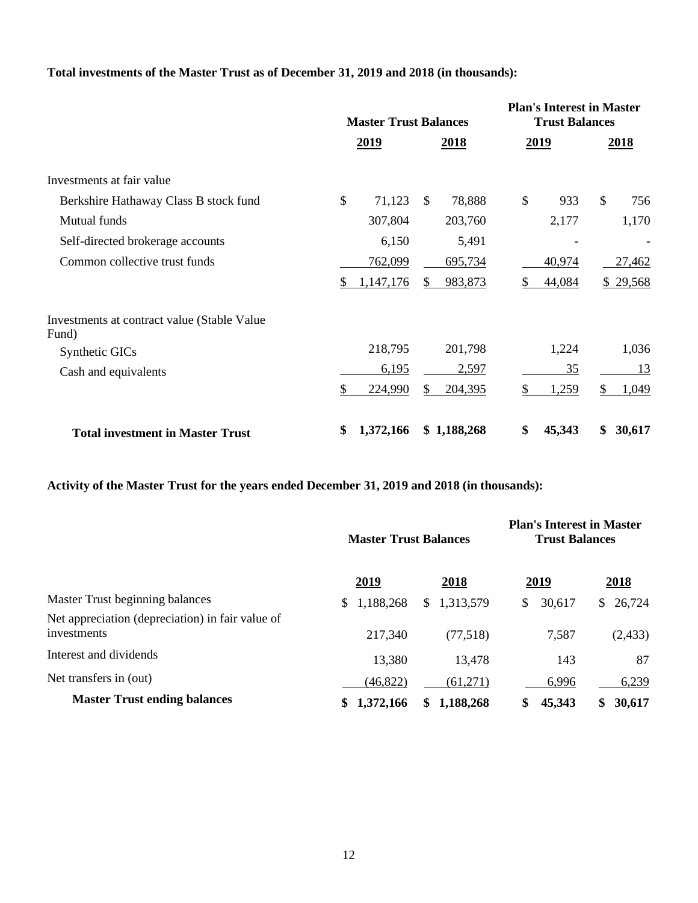# **Total investments of the Master Trust as of December 31, 2019 and 2018 (in thousands):**

|                                                       | <b>Master Trust Balances</b> | <b>Plan's Interest in Master</b><br><b>Trust Balances</b> |              |             |              |    |          |
|-------------------------------------------------------|------------------------------|-----------------------------------------------------------|--------------|-------------|--------------|----|----------|
|                                                       | 2018<br><u>2019</u>          |                                                           | <u>2019</u>  |             | <u>2018</u>  |    |          |
| Investments at fair value                             |                              |                                                           |              |             |              |    |          |
| Berkshire Hathaway Class B stock fund                 | \$                           | 71,123                                                    | $\mathbb{S}$ | 78,888      | \$<br>933    | \$ | 756      |
| Mutual funds                                          |                              | 307,804                                                   |              | 203,760     | 2,177        |    | 1,170    |
| Self-directed brokerage accounts                      |                              | 6,150                                                     |              | 5,491       |              |    |          |
| Common collective trust funds                         |                              | 762,099                                                   |              | 695,734     | 40,974       |    | 27,462   |
|                                                       | S.                           | 1,147,176                                                 | S.           | 983,873     | \$<br>44,084 |    | \$29,568 |
| Investments at contract value (Stable Value)<br>Fund) |                              |                                                           |              |             |              |    |          |
| Synthetic GICs                                        |                              | 218,795                                                   |              | 201,798     | 1,224        |    | 1,036    |
| Cash and equivalents                                  |                              | 6,195                                                     |              | 2,597       | 35           |    | 13       |
|                                                       |                              | 224,990                                                   | S            | 204,395     | \$<br>1,259  | S  | 1,049    |
| <b>Total investment in Master Trust</b>               | \$                           | 1,372,166                                                 |              | \$1,188,268 | \$<br>45,343 | \$ | 30,617   |

**Activity of the Master Trust for the years ended December 31, 2019 and 2018 (in thousands):**

|                                                                 | <b>Master Trust Balances</b> |                 | <b>Plan's Interest in Master</b><br><b>Trust Balances</b> |              |
|-----------------------------------------------------------------|------------------------------|-----------------|-----------------------------------------------------------|--------------|
|                                                                 | 2019                         | 2018            | 2019                                                      | 2018         |
| Master Trust beginning balances                                 | 1,188,268<br>S.              | 1,313,579<br>S. | 30,617<br>S.                                              | 26,724<br>S. |
| Net appreciation (depreciation) in fair value of<br>investments | 217,340                      | (77,518)        | 7,587                                                     | (2, 433)     |
| Interest and dividends                                          | 13,380                       | 13,478          | 143                                                       | 87           |
| Net transfers in (out)                                          | (46, 822)                    | (61,271)        | 6,996                                                     | 6,239        |
| <b>Master Trust ending balances</b>                             | 1,372,166                    | 1,188,268       | 45,343                                                    | 30,617<br>\$ |